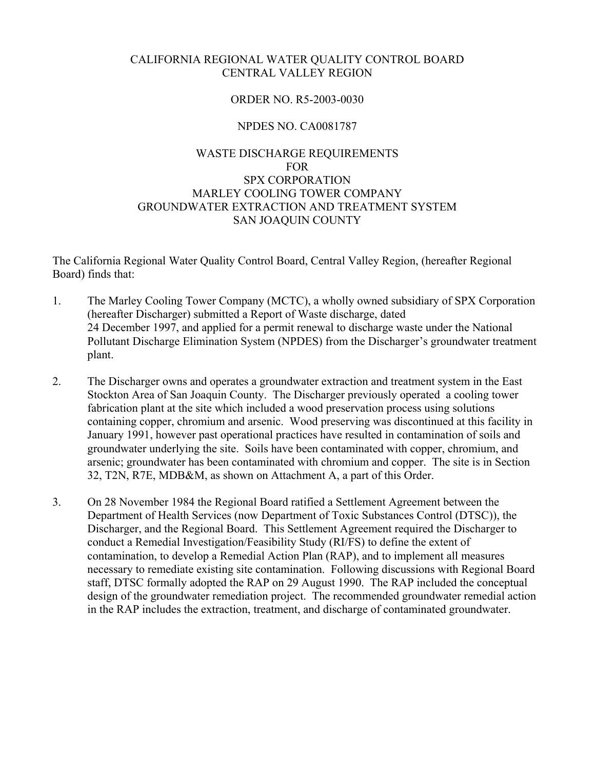# CALIFORNIA REGIONAL WATER QUALITY CONTROL BOARD CENTRAL VALLEY REGION

# ORDER NO. R5-2003-0030

# NPDES NO. CA0081787

# WASTE DISCHARGE REQUIREMENTS FOR SPX CORPORATION MARLEY COOLING TOWER COMPANY GROUNDWATER EXTRACTION AND TREATMENT SYSTEM SAN JOAQUIN COUNTY

The California Regional Water Quality Control Board, Central Valley Region, (hereafter Regional Board) finds that:

- 1. The Marley Cooling Tower Company (MCTC), a wholly owned subsidiary of SPX Corporation (hereafter Discharger) submitted a Report of Waste discharge, dated 24 December 1997, and applied for a permit renewal to discharge waste under the National Pollutant Discharge Elimination System (NPDES) from the Discharger's groundwater treatment plant.
- 2. The Discharger owns and operates a groundwater extraction and treatment system in the East Stockton Area of San Joaquin County. The Discharger previously operated a cooling tower fabrication plant at the site which included a wood preservation process using solutions containing copper, chromium and arsenic. Wood preserving was discontinued at this facility in January 1991, however past operational practices have resulted in contamination of soils and groundwater underlying the site. Soils have been contaminated with copper, chromium, and arsenic; groundwater has been contaminated with chromium and copper. The site is in Section 32, T2N, R7E, MDB&M, as shown on Attachment A, a part of this Order.
- 3. On 28 November 1984 the Regional Board ratified a Settlement Agreement between the Department of Health Services (now Department of Toxic Substances Control (DTSC)), the Discharger, and the Regional Board. This Settlement Agreement required the Discharger to conduct a Remedial Investigation/Feasibility Study (RI/FS) to define the extent of contamination, to develop a Remedial Action Plan (RAP), and to implement all measures necessary to remediate existing site contamination. Following discussions with Regional Board staff, DTSC formally adopted the RAP on 29 August 1990. The RAP included the conceptual design of the groundwater remediation project. The recommended groundwater remedial action in the RAP includes the extraction, treatment, and discharge of contaminated groundwater.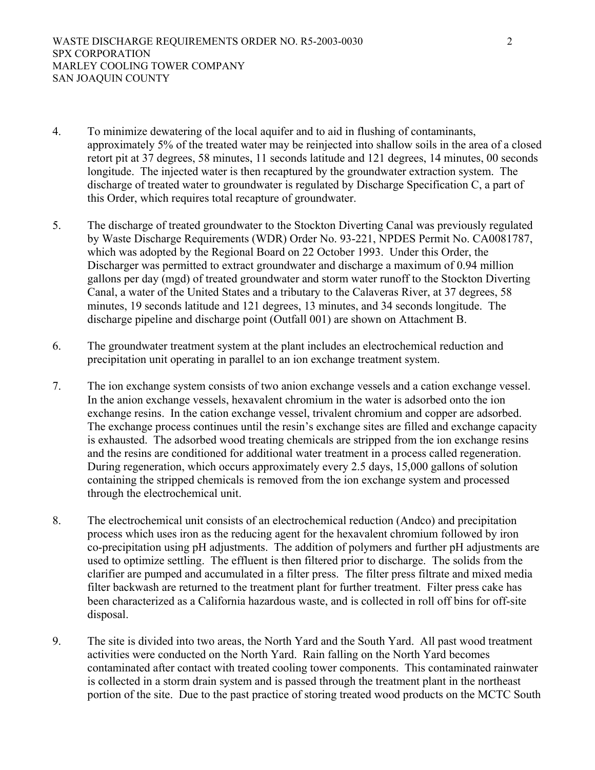- 4. To minimize dewatering of the local aquifer and to aid in flushing of contaminants, approximately 5% of the treated water may be reinjected into shallow soils in the area of a closed retort pit at 37 degrees, 58 minutes, 11 seconds latitude and 121 degrees, 14 minutes, 00 seconds longitude. The injected water is then recaptured by the groundwater extraction system. The discharge of treated water to groundwater is regulated by Discharge Specification C, a part of this Order, which requires total recapture of groundwater.
- 5. The discharge of treated groundwater to the Stockton Diverting Canal was previously regulated by Waste Discharge Requirements (WDR) Order No. 93-221, NPDES Permit No. CA0081787, which was adopted by the Regional Board on 22 October 1993. Under this Order, the Discharger was permitted to extract groundwater and discharge a maximum of 0.94 million gallons per day (mgd) of treated groundwater and storm water runoff to the Stockton Diverting Canal, a water of the United States and a tributary to the Calaveras River, at 37 degrees, 58 minutes, 19 seconds latitude and 121 degrees, 13 minutes, and 34 seconds longitude. The discharge pipeline and discharge point (Outfall 001) are shown on Attachment B.
- 6. The groundwater treatment system at the plant includes an electrochemical reduction and precipitation unit operating in parallel to an ion exchange treatment system.
- 7. The ion exchange system consists of two anion exchange vessels and a cation exchange vessel. In the anion exchange vessels, hexavalent chromium in the water is adsorbed onto the ion exchange resins. In the cation exchange vessel, trivalent chromium and copper are adsorbed. The exchange process continues until the resin's exchange sites are filled and exchange capacity is exhausted. The adsorbed wood treating chemicals are stripped from the ion exchange resins and the resins are conditioned for additional water treatment in a process called regeneration. During regeneration, which occurs approximately every 2.5 days, 15,000 gallons of solution containing the stripped chemicals is removed from the ion exchange system and processed through the electrochemical unit.
- 8. The electrochemical unit consists of an electrochemical reduction (Andco) and precipitation process which uses iron as the reducing agent for the hexavalent chromium followed by iron co-precipitation using pH adjustments. The addition of polymers and further pH adjustments are used to optimize settling. The effluent is then filtered prior to discharge. The solids from the clarifier are pumped and accumulated in a filter press. The filter press filtrate and mixed media filter backwash are returned to the treatment plant for further treatment. Filter press cake has been characterized as a California hazardous waste, and is collected in roll off bins for off-site disposal.
- 9. The site is divided into two areas, the North Yard and the South Yard. All past wood treatment activities were conducted on the North Yard. Rain falling on the North Yard becomes contaminated after contact with treated cooling tower components. This contaminated rainwater is collected in a storm drain system and is passed through the treatment plant in the northeast portion of the site. Due to the past practice of storing treated wood products on the MCTC South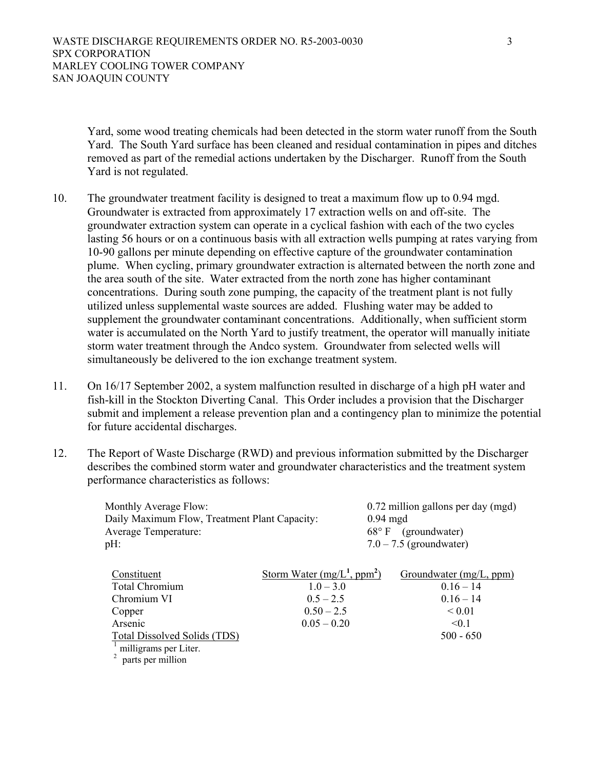Yard, some wood treating chemicals had been detected in the storm water runoff from the South Yard. The South Yard surface has been cleaned and residual contamination in pipes and ditches removed as part of the remedial actions undertaken by the Discharger. Runoff from the South Yard is not regulated.

- 10. The groundwater treatment facility is designed to treat a maximum flow up to 0.94 mgd. Groundwater is extracted from approximately 17 extraction wells on and off-site. The groundwater extraction system can operate in a cyclical fashion with each of the two cycles lasting 56 hours or on a continuous basis with all extraction wells pumping at rates varying from 10-90 gallons per minute depending on effective capture of the groundwater contamination plume. When cycling, primary groundwater extraction is alternated between the north zone and the area south of the site. Water extracted from the north zone has higher contaminant concentrations. During south zone pumping, the capacity of the treatment plant is not fully utilized unless supplemental waste sources are added. Flushing water may be added to supplement the groundwater contaminant concentrations. Additionally, when sufficient storm water is accumulated on the North Yard to justify treatment, the operator will manually initiate storm water treatment through the Andco system. Groundwater from selected wells will simultaneously be delivered to the ion exchange treatment system.
- 11. On 16/17 September 2002, a system malfunction resulted in discharge of a high pH water and fish-kill in the Stockton Diverting Canal. This Order includes a provision that the Discharger submit and implement a release prevention plan and a contingency plan to minimize the potential for future accidental discharges.
- 12. The Report of Waste Discharge (RWD) and previous information submitted by the Discharger describes the combined storm water and groundwater characteristics and the treatment system performance characteristics as follows:

| <b>Monthly Average Flow:</b><br>Daily Maximum Flow, Treatment Plant Capacity:<br><b>Average Temperature:</b><br>pH: | $68^{\circ}$ F                | 0.72 million gallons per day (mgd)<br>$0.94$ mgd<br>(groundwater)<br>$7.0 - 7.5$ (groundwater) |
|---------------------------------------------------------------------------------------------------------------------|-------------------------------|------------------------------------------------------------------------------------------------|
|                                                                                                                     |                               |                                                                                                |
| Constituent                                                                                                         | Storm Water $(mg/L^1, ppm^2)$ | Groundwater (mg/L, ppm)                                                                        |
| <b>Total Chromium</b>                                                                                               | $1.0 - 3.0$                   | $0.16 - 14$                                                                                    |
| Chromium VI                                                                                                         | $0.5 - 2.5$                   | $0.16 - 14$                                                                                    |
| Copper                                                                                                              | $0.50 - 2.5$                  | ${}_{0.01}$                                                                                    |
| Arsenic                                                                                                             | $0.05 - 0.20$                 | < 0.1                                                                                          |
| <b>Total Dissolved Solids (TDS)</b>                                                                                 |                               | $500 - 650$                                                                                    |
| milligrams per Liter.                                                                                               |                               |                                                                                                |
| parts per million                                                                                                   |                               |                                                                                                |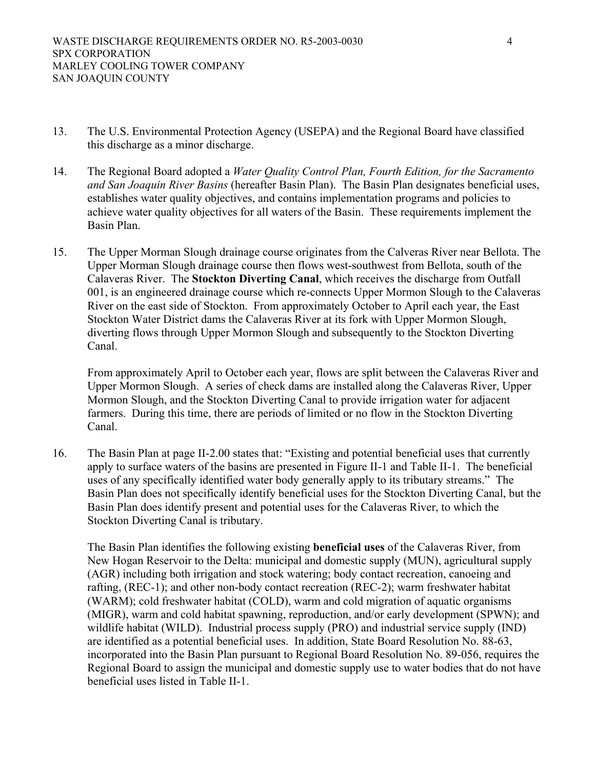- 13. The U.S. Environmental Protection Agency (USEPA) and the Regional Board have classified this discharge as a minor discharge.
- 14. The Regional Board adopted a *Water Quality Control Plan, Fourth Edition, for the Sacramento and San Joaquin River Basins* (hereafter Basin Plan). The Basin Plan designates beneficial uses, establishes water quality objectives, and contains implementation programs and policies to achieve water quality objectives for all waters of the Basin. These requirements implement the Basin Plan.
- 15. The Upper Morman Slough drainage course originates from the Calveras River near Bellota. The Upper Morman Slough drainage course then flows west-southwest from Bellota, south of the Calaveras River. The **Stockton Diverting Canal**, which receives the discharge from Outfall 001, is an engineered drainage course which re-connects Upper Mormon Slough to the Calaveras River on the east side of Stockton. From approximately October to April each year, the East Stockton Water District dams the Calaveras River at its fork with Upper Mormon Slough, diverting flows through Upper Mormon Slough and subsequently to the Stockton Diverting Canal.

From approximately April to October each year, flows are split between the Calaveras River and Upper Mormon Slough. A series of check dams are installed along the Calaveras River, Upper Mormon Slough, and the Stockton Diverting Canal to provide irrigation water for adjacent farmers. During this time, there are periods of limited or no flow in the Stockton Diverting Canal.

16. The Basin Plan at page II-2.00 states that: "Existing and potential beneficial uses that currently apply to surface waters of the basins are presented in Figure II-1 and Table II-1. The beneficial uses of any specifically identified water body generally apply to its tributary streams." The Basin Plan does not specifically identify beneficial uses for the Stockton Diverting Canal, but the Basin Plan does identify present and potential uses for the Calaveras River, to which the Stockton Diverting Canal is tributary.

The Basin Plan identifies the following existing **beneficial uses** of the Calaveras River, from New Hogan Reservoir to the Delta: municipal and domestic supply (MUN), agricultural supply (AGR) including both irrigation and stock watering; body contact recreation, canoeing and rafting, (REC-1); and other non-body contact recreation (REC-2); warm freshwater habitat (WARM); cold freshwater habitat (COLD), warm and cold migration of aquatic organisms (MIGR), warm and cold habitat spawning, reproduction, and/or early development (SPWN); and wildlife habitat (WILD). Industrial process supply (PRO) and industrial service supply (IND) are identified as a potential beneficial uses. In addition, State Board Resolution No. 88-63, incorporated into the Basin Plan pursuant to Regional Board Resolution No. 89-056, requires the Regional Board to assign the municipal and domestic supply use to water bodies that do not have beneficial uses listed in Table II-1.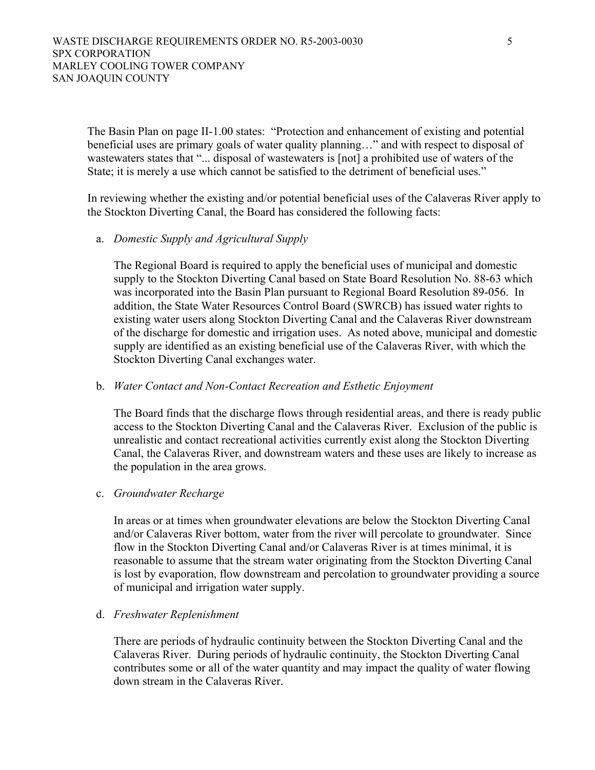The Basin Plan on page II-1.00 states: "Protection and enhancement of existing and potential beneficial uses are primary goals of water quality planning…" and with respect to disposal of wastewaters states that "... disposal of wastewaters is [not] a prohibited use of waters of the State; it is merely a use which cannot be satisfied to the detriment of beneficial uses."

In reviewing whether the existing and/or potential beneficial uses of the Calaveras River apply to the Stockton Diverting Canal, the Board has considered the following facts:

# a. *Domestic Supply and Agricultural Supply*

The Regional Board is required to apply the beneficial uses of municipal and domestic supply to the Stockton Diverting Canal based on State Board Resolution No. 88-63 which was incorporated into the Basin Plan pursuant to Regional Board Resolution 89-056. In addition, the State Water Resources Control Board (SWRCB) has issued water rights to existing water users along Stockton Diverting Canal and the Calaveras River downstream of the discharge for domestic and irrigation uses. As noted above, municipal and domestic supply are identified as an existing beneficial use of the Calaveras River, with which the Stockton Diverting Canal exchanges water.

## b. *Water Contact and Non-Contact Recreation and Esthetic Enjoyment*

The Board finds that the discharge flows through residential areas, and there is ready public access to the Stockton Diverting Canal and the Calaveras River. Exclusion of the public is unrealistic and contact recreational activities currently exist along the Stockton Diverting Canal, the Calaveras River, and downstream waters and these uses are likely to increase as the population in the area grows.

### c. *Groundwater Recharge*

In areas or at times when groundwater elevations are below the Stockton Diverting Canal and/or Calaveras River bottom, water from the river will percolate to groundwater. Since flow in the Stockton Diverting Canal and/or Calaveras River is at times minimal, it is reasonable to assume that the stream water originating from the Stockton Diverting Canal is lost by evaporation, flow downstream and percolation to groundwater providing a source of municipal and irrigation water supply.

### d. *Freshwater Replenishment*

There are periods of hydraulic continuity between the Stockton Diverting Canal and the Calaveras River. During periods of hydraulic continuity, the Stockton Diverting Canal contributes some or all of the water quantity and may impact the quality of water flowing down stream in the Calaveras River.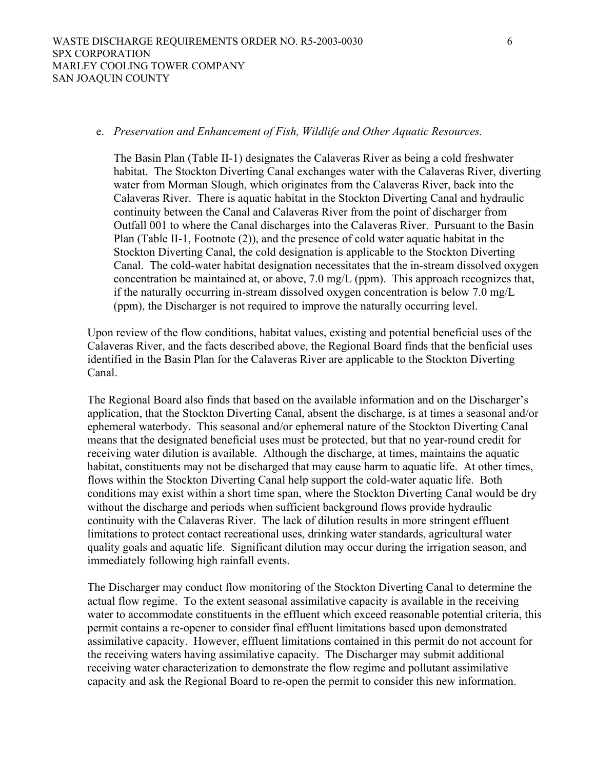#### e. *Preservation and Enhancement of Fish, Wildlife and Other Aquatic Resources.*

The Basin Plan (Table II-1) designates the Calaveras River as being a cold freshwater habitat. The Stockton Diverting Canal exchanges water with the Calaveras River, diverting water from Morman Slough, which originates from the Calaveras River, back into the Calaveras River. There is aquatic habitat in the Stockton Diverting Canal and hydraulic continuity between the Canal and Calaveras River from the point of discharger from Outfall 001 to where the Canal discharges into the Calaveras River. Pursuant to the Basin Plan (Table II-1, Footnote (2)), and the presence of cold water aquatic habitat in the Stockton Diverting Canal, the cold designation is applicable to the Stockton Diverting Canal. The cold-water habitat designation necessitates that the in-stream dissolved oxygen concentration be maintained at, or above, 7.0 mg/L (ppm). This approach recognizes that, if the naturally occurring in-stream dissolved oxygen concentration is below 7.0 mg/L (ppm), the Discharger is not required to improve the naturally occurring level.

Upon review of the flow conditions, habitat values, existing and potential beneficial uses of the Calaveras River, and the facts described above, the Regional Board finds that the benficial uses identified in the Basin Plan for the Calaveras River are applicable to the Stockton Diverting Canal.

The Regional Board also finds that based on the available information and on the Discharger's application, that the Stockton Diverting Canal, absent the discharge, is at times a seasonal and/or ephemeral waterbody. This seasonal and/or ephemeral nature of the Stockton Diverting Canal means that the designated beneficial uses must be protected, but that no year-round credit for receiving water dilution is available. Although the discharge, at times, maintains the aquatic habitat, constituents may not be discharged that may cause harm to aquatic life. At other times, flows within the Stockton Diverting Canal help support the cold-water aquatic life. Both conditions may exist within a short time span, where the Stockton Diverting Canal would be dry without the discharge and periods when sufficient background flows provide hydraulic continuity with the Calaveras River. The lack of dilution results in more stringent effluent limitations to protect contact recreational uses, drinking water standards, agricultural water quality goals and aquatic life. Significant dilution may occur during the irrigation season, and immediately following high rainfall events.

The Discharger may conduct flow monitoring of the Stockton Diverting Canal to determine the actual flow regime. To the extent seasonal assimilative capacity is available in the receiving water to accommodate constituents in the effluent which exceed reasonable potential criteria, this permit contains a re-opener to consider final effluent limitations based upon demonstrated assimilative capacity. However, effluent limitations contained in this permit do not account for the receiving waters having assimilative capacity. The Discharger may submit additional receiving water characterization to demonstrate the flow regime and pollutant assimilative capacity and ask the Regional Board to re-open the permit to consider this new information.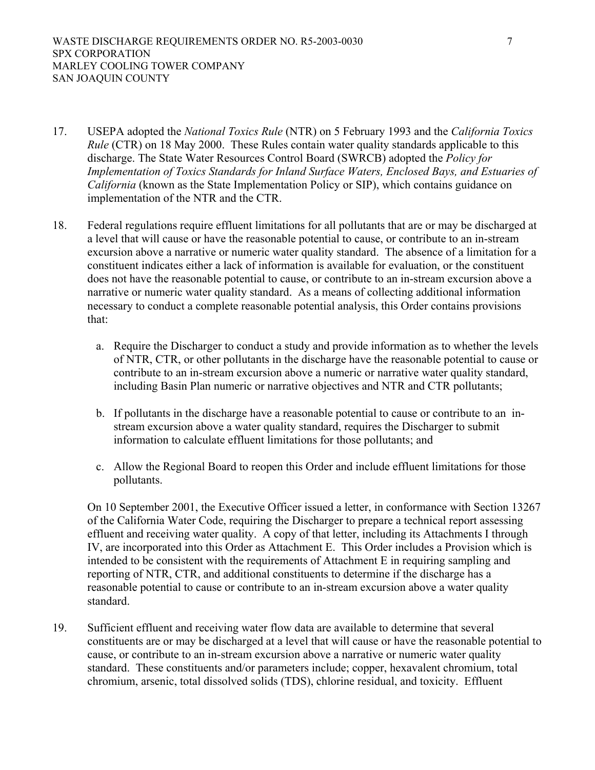- 17. USEPA adopted the *National Toxics Rule* (NTR) on 5 February 1993 and the *California Toxics Rule* (CTR) on 18 May 2000. These Rules contain water quality standards applicable to this discharge. The State Water Resources Control Board (SWRCB) adopted the *Policy for Implementation of Toxics Standards for Inland Surface Waters, Enclosed Bays, and Estuaries of California* (known as the State Implementation Policy or SIP), which contains guidance on implementation of the NTR and the CTR.
- 18. Federal regulations require effluent limitations for all pollutants that are or may be discharged at a level that will cause or have the reasonable potential to cause, or contribute to an in-stream excursion above a narrative or numeric water quality standard. The absence of a limitation for a constituent indicates either a lack of information is available for evaluation, or the constituent does not have the reasonable potential to cause, or contribute to an in-stream excursion above a narrative or numeric water quality standard. As a means of collecting additional information necessary to conduct a complete reasonable potential analysis, this Order contains provisions that:
	- a. Require the Discharger to conduct a study and provide information as to whether the levels of NTR, CTR, or other pollutants in the discharge have the reasonable potential to cause or contribute to an in-stream excursion above a numeric or narrative water quality standard, including Basin Plan numeric or narrative objectives and NTR and CTR pollutants;
	- b. If pollutants in the discharge have a reasonable potential to cause or contribute to an instream excursion above a water quality standard, requires the Discharger to submit information to calculate effluent limitations for those pollutants; and
	- c. Allow the Regional Board to reopen this Order and include effluent limitations for those pollutants.

On 10 September 2001, the Executive Officer issued a letter, in conformance with Section 13267 of the California Water Code, requiring the Discharger to prepare a technical report assessing effluent and receiving water quality. A copy of that letter, including its Attachments I through IV, are incorporated into this Order as Attachment E. This Order includes a Provision which is intended to be consistent with the requirements of Attachment E in requiring sampling and reporting of NTR, CTR, and additional constituents to determine if the discharge has a reasonable potential to cause or contribute to an in-stream excursion above a water quality standard.

19. Sufficient effluent and receiving water flow data are available to determine that several constituents are or may be discharged at a level that will cause or have the reasonable potential to cause, or contribute to an in-stream excursion above a narrative or numeric water quality standard. These constituents and/or parameters include; copper, hexavalent chromium, total chromium, arsenic, total dissolved solids (TDS), chlorine residual, and toxicity. Effluent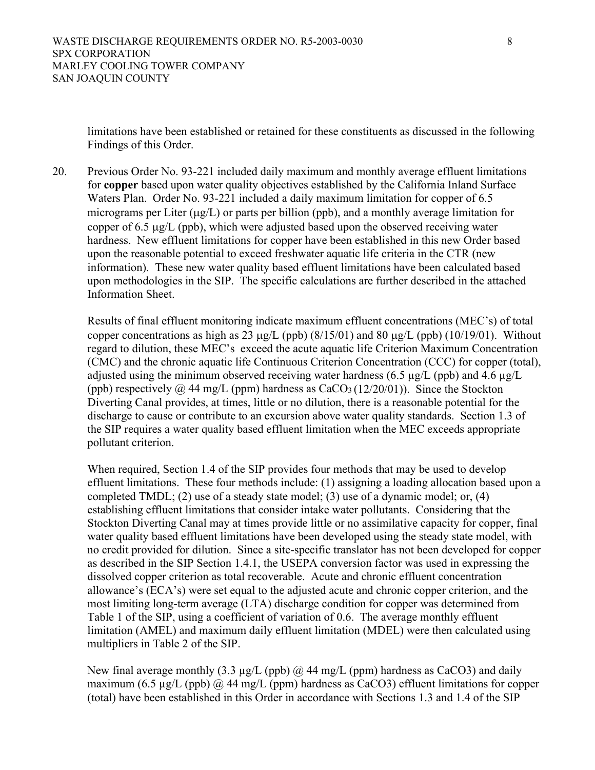limitations have been established or retained for these constituents as discussed in the following Findings of this Order.

20. Previous Order No. 93-221 included daily maximum and monthly average effluent limitations for **copper** based upon water quality objectives established by the California Inland Surface Waters Plan. Order No. 93-221 included a daily maximum limitation for copper of 6.5 micrograms per Liter  $(\mu g/L)$  or parts per billion (ppb), and a monthly average limitation for copper of 6.5 µg/L (ppb), which were adjusted based upon the observed receiving water hardness. New effluent limitations for copper have been established in this new Order based upon the reasonable potential to exceed freshwater aquatic life criteria in the CTR (new information). These new water quality based effluent limitations have been calculated based upon methodologies in the SIP. The specific calculations are further described in the attached Information Sheet.

Results of final effluent monitoring indicate maximum effluent concentrations (MEC's) of total copper concentrations as high as 23  $\mu$ g/L (ppb) (8/15/01) and 80  $\mu$ g/L (ppb) (10/19/01). Without regard to dilution, these MEC's exceed the acute aquatic life Criterion Maximum Concentration (CMC) and the chronic aquatic life Continuous Criterion Concentration (CCC) for copper (total), adjusted using the minimum observed receiving water hardness (6.5  $\mu$ g/L (ppb) and 4.6  $\mu$ g/L (ppb) respectively  $\omega$  44 mg/L (ppm) hardness as CaCO<sub>3</sub> (12/20/01)). Since the Stockton Diverting Canal provides, at times, little or no dilution, there is a reasonable potential for the discharge to cause or contribute to an excursion above water quality standards. Section 1.3 of the SIP requires a water quality based effluent limitation when the MEC exceeds appropriate pollutant criterion.

When required, Section 1.4 of the SIP provides four methods that may be used to develop effluent limitations. These four methods include: (1) assigning a loading allocation based upon a completed TMDL; (2) use of a steady state model; (3) use of a dynamic model; or, (4) establishing effluent limitations that consider intake water pollutants. Considering that the Stockton Diverting Canal may at times provide little or no assimilative capacity for copper, final water quality based effluent limitations have been developed using the steady state model, with no credit provided for dilution. Since a site-specific translator has not been developed for copper as described in the SIP Section 1.4.1, the USEPA conversion factor was used in expressing the dissolved copper criterion as total recoverable. Acute and chronic effluent concentration allowance's (ECA's) were set equal to the adjusted acute and chronic copper criterion, and the most limiting long-term average (LTA) discharge condition for copper was determined from Table 1 of the SIP, using a coefficient of variation of 0.6. The average monthly effluent limitation (AMEL) and maximum daily effluent limitation (MDEL) were then calculated using multipliers in Table 2 of the SIP.

New final average monthly (3.3  $\mu$ g/L (ppb) @ 44 mg/L (ppm) hardness as CaCO3) and daily maximum (6.5  $\mu$ g/L (ppb) @ 44 mg/L (ppm) hardness as CaCO3) effluent limitations for copper (total) have been established in this Order in accordance with Sections 1.3 and 1.4 of the SIP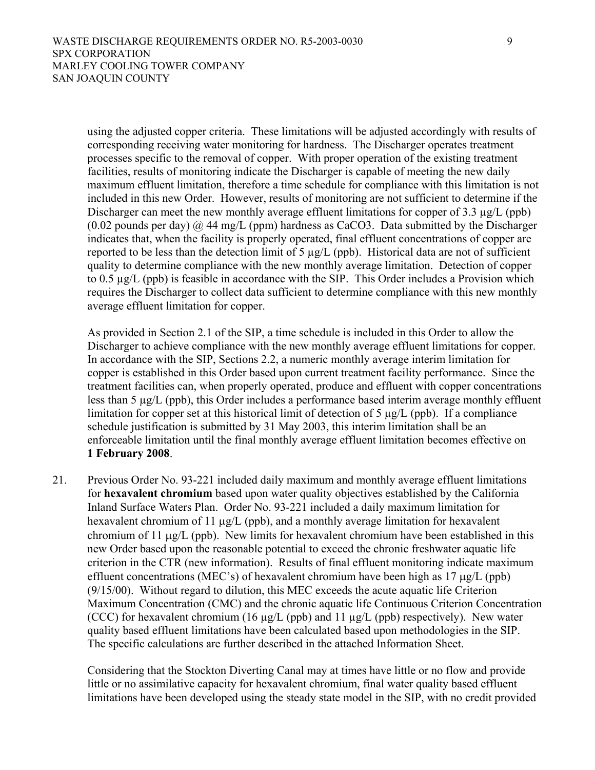using the adjusted copper criteria. These limitations will be adjusted accordingly with results of corresponding receiving water monitoring for hardness. The Discharger operates treatment processes specific to the removal of copper. With proper operation of the existing treatment facilities, results of monitoring indicate the Discharger is capable of meeting the new daily maximum effluent limitation, therefore a time schedule for compliance with this limitation is not included in this new Order. However, results of monitoring are not sufficient to determine if the Discharger can meet the new monthly average effluent limitations for copper of 3.3  $\mu$ g/L (ppb)  $(0.02 \text{ pounds per day})$   $\omega$  44 mg/L (ppm) hardness as CaCO3. Data submitted by the Discharger indicates that, when the facility is properly operated, final effluent concentrations of copper are reported to be less than the detection limit of 5  $\mu$ g/L (ppb). Historical data are not of sufficient quality to determine compliance with the new monthly average limitation. Detection of copper to 0.5 µg/L (ppb) is feasible in accordance with the SIP. This Order includes a Provision which requires the Discharger to collect data sufficient to determine compliance with this new monthly average effluent limitation for copper.

As provided in Section 2.1 of the SIP, a time schedule is included in this Order to allow the Discharger to achieve compliance with the new monthly average effluent limitations for copper. In accordance with the SIP, Sections 2.2, a numeric monthly average interim limitation for copper is established in this Order based upon current treatment facility performance. Since the treatment facilities can, when properly operated, produce and effluent with copper concentrations less than 5 µg/L (ppb), this Order includes a performance based interim average monthly effluent limitation for copper set at this historical limit of detection of 5 µg/L (ppb). If a compliance schedule justification is submitted by 31 May 2003, this interim limitation shall be an enforceable limitation until the final monthly average effluent limitation becomes effective on **1 February 2008**.

21. Previous Order No. 93-221 included daily maximum and monthly average effluent limitations for **hexavalent chromium** based upon water quality objectives established by the California Inland Surface Waters Plan. Order No. 93-221 included a daily maximum limitation for hexavalent chromium of 11  $\mu$ g/L (ppb), and a monthly average limitation for hexavalent chromium of 11 µg/L (ppb). New limits for hexavalent chromium have been established in this new Order based upon the reasonable potential to exceed the chronic freshwater aquatic life criterion in the CTR (new information). Results of final effluent monitoring indicate maximum effluent concentrations (MEC's) of hexavalent chromium have been high as 17 µg/L (ppb) (9/15/00). Without regard to dilution, this MEC exceeds the acute aquatic life Criterion Maximum Concentration (CMC) and the chronic aquatic life Continuous Criterion Concentration (CCC) for hexavalent chromium (16  $\mu$ g/L (ppb) and 11  $\mu$ g/L (ppb) respectively). New water quality based effluent limitations have been calculated based upon methodologies in the SIP. The specific calculations are further described in the attached Information Sheet.

Considering that the Stockton Diverting Canal may at times have little or no flow and provide little or no assimilative capacity for hexavalent chromium, final water quality based effluent limitations have been developed using the steady state model in the SIP, with no credit provided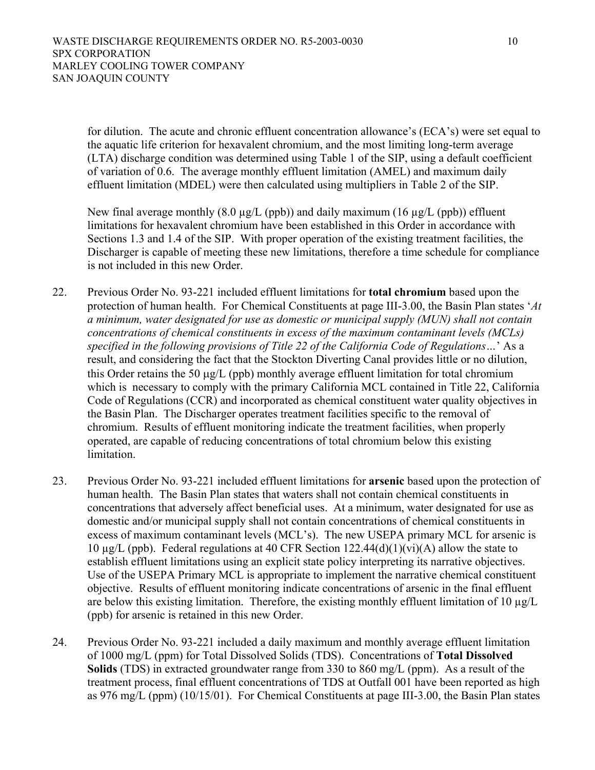for dilution. The acute and chronic effluent concentration allowance's (ECA's) were set equal to the aquatic life criterion for hexavalent chromium, and the most limiting long-term average (LTA) discharge condition was determined using Table 1 of the SIP, using a default coefficient of variation of 0.6. The average monthly effluent limitation (AMEL) and maximum daily effluent limitation (MDEL) were then calculated using multipliers in Table 2 of the SIP.

New final average monthly  $(8.0 \mu g/L (ppb))$  and daily maximum  $(16 \mu g/L (ppb))$  effluent limitations for hexavalent chromium have been established in this Order in accordance with Sections 1.3 and 1.4 of the SIP. With proper operation of the existing treatment facilities, the Discharger is capable of meeting these new limitations, therefore a time schedule for compliance is not included in this new Order.

- 22. Previous Order No. 93-221 included effluent limitations for **total chromium** based upon the protection of human health. For Chemical Constituents at page III-3.00, the Basin Plan states '*At a minimum, water designated for use as domestic or municipal supply (MUN) shall not contain concentrations of chemical constituents in excess of the maximum contaminant levels (MCLs) specified in the following provisions of Title 22 of the California Code of Regulations…*' As a result, and considering the fact that the Stockton Diverting Canal provides little or no dilution, this Order retains the 50 µg/L (ppb) monthly average effluent limitation for total chromium which is necessary to comply with the primary California MCL contained in Title 22, California Code of Regulations (CCR) and incorporated as chemical constituent water quality objectives in the Basin Plan. The Discharger operates treatment facilities specific to the removal of chromium. Results of effluent monitoring indicate the treatment facilities, when properly operated, are capable of reducing concentrations of total chromium below this existing limitation.
- 23. Previous Order No. 93-221 included effluent limitations for **arsenic** based upon the protection of human health. The Basin Plan states that waters shall not contain chemical constituents in concentrations that adversely affect beneficial uses. At a minimum, water designated for use as domestic and/or municipal supply shall not contain concentrations of chemical constituents in excess of maximum contaminant levels (MCL's). The new USEPA primary MCL for arsenic is 10 µg/L (ppb). Federal regulations at 40 CFR Section 122.44(d)(1)(vi)(A) allow the state to establish effluent limitations using an explicit state policy interpreting its narrative objectives. Use of the USEPA Primary MCL is appropriate to implement the narrative chemical constituent objective. Results of effluent monitoring indicate concentrations of arsenic in the final effluent are below this existing limitation. Therefore, the existing monthly effluent limitation of 10  $\mu$ g/L (ppb) for arsenic is retained in this new Order.
- 24. Previous Order No. 93-221 included a daily maximum and monthly average effluent limitation of 1000 mg/L (ppm) for Total Dissolved Solids (TDS). Concentrations of **Total Dissolved Solids** (TDS) in extracted groundwater range from 330 to 860 mg/L (ppm). As a result of the treatment process, final effluent concentrations of TDS at Outfall 001 have been reported as high as 976 mg/L (ppm) (10/15/01). For Chemical Constituents at page III-3.00, the Basin Plan states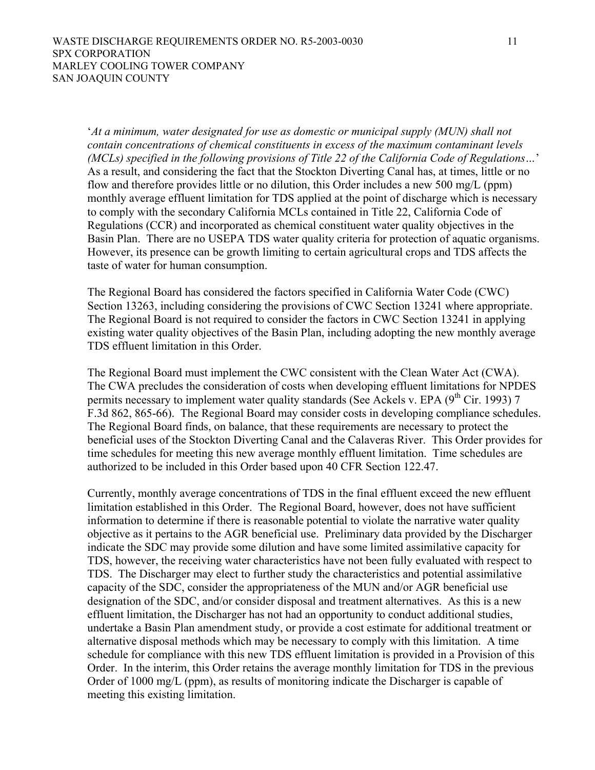'*At a minimum, water designated for use as domestic or municipal supply (MUN) shall not contain concentrations of chemical constituents in excess of the maximum contaminant levels (MCLs) specified in the following provisions of Title 22 of the California Code of Regulations…*' As a result, and considering the fact that the Stockton Diverting Canal has, at times, little or no flow and therefore provides little or no dilution, this Order includes a new 500 mg/L (ppm) monthly average effluent limitation for TDS applied at the point of discharge which is necessary to comply with the secondary California MCLs contained in Title 22, California Code of Regulations (CCR) and incorporated as chemical constituent water quality objectives in the Basin Plan. There are no USEPA TDS water quality criteria for protection of aquatic organisms. However, its presence can be growth limiting to certain agricultural crops and TDS affects the taste of water for human consumption.

The Regional Board has considered the factors specified in California Water Code (CWC) Section 13263, including considering the provisions of CWC Section 13241 where appropriate. The Regional Board is not required to consider the factors in CWC Section 13241 in applying existing water quality objectives of the Basin Plan, including adopting the new monthly average TDS effluent limitation in this Order.

The Regional Board must implement the CWC consistent with the Clean Water Act (CWA). The CWA precludes the consideration of costs when developing effluent limitations for NPDES permits necessary to implement water quality standards (See Ackels v. EPA (9<sup>th</sup> Cir. 1993) 7 F.3d 862, 865-66). The Regional Board may consider costs in developing compliance schedules. The Regional Board finds, on balance, that these requirements are necessary to protect the beneficial uses of the Stockton Diverting Canal and the Calaveras River. This Order provides for time schedules for meeting this new average monthly effluent limitation. Time schedules are authorized to be included in this Order based upon 40 CFR Section 122.47.

Currently, monthly average concentrations of TDS in the final effluent exceed the new effluent limitation established in this Order. The Regional Board, however, does not have sufficient information to determine if there is reasonable potential to violate the narrative water quality objective as it pertains to the AGR beneficial use. Preliminary data provided by the Discharger indicate the SDC may provide some dilution and have some limited assimilative capacity for TDS, however, the receiving water characteristics have not been fully evaluated with respect to TDS. The Discharger may elect to further study the characteristics and potential assimilative capacity of the SDC, consider the appropriateness of the MUN and/or AGR beneficial use designation of the SDC, and/or consider disposal and treatment alternatives. As this is a new effluent limitation, the Discharger has not had an opportunity to conduct additional studies, undertake a Basin Plan amendment study, or provide a cost estimate for additional treatment or alternative disposal methods which may be necessary to comply with this limitation. A time schedule for compliance with this new TDS effluent limitation is provided in a Provision of this Order. In the interim, this Order retains the average monthly limitation for TDS in the previous Order of 1000 mg/L (ppm), as results of monitoring indicate the Discharger is capable of meeting this existing limitation.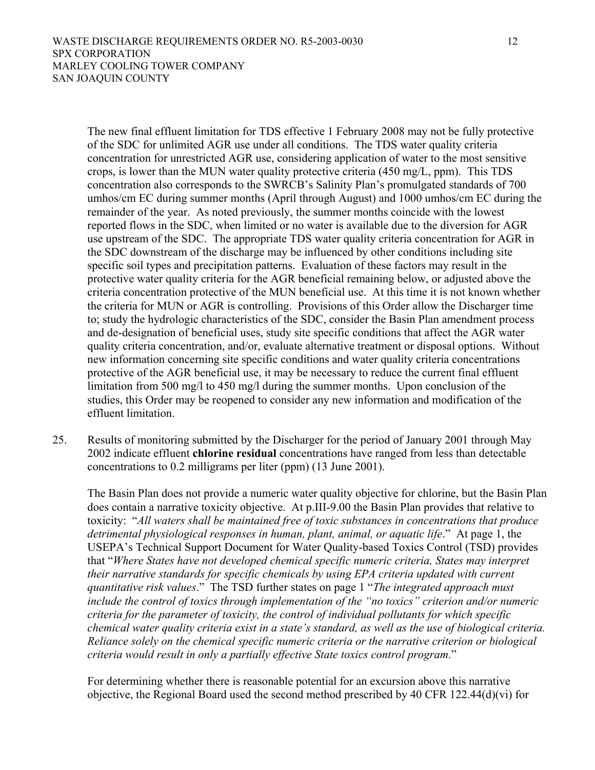The new final effluent limitation for TDS effective 1 February 2008 may not be fully protective of the SDC for unlimited AGR use under all conditions. The TDS water quality criteria concentration for unrestricted AGR use, considering application of water to the most sensitive crops, is lower than the MUN water quality protective criteria (450 mg/L, ppm). This TDS concentration also corresponds to the SWRCB's Salinity Plan's promulgated standards of 700 umhos/cm EC during summer months (April through August) and 1000 umhos/cm EC during the remainder of the year. As noted previously, the summer months coincide with the lowest reported flows in the SDC, when limited or no water is available due to the diversion for AGR use upstream of the SDC. The appropriate TDS water quality criteria concentration for AGR in the SDC downstream of the discharge may be influenced by other conditions including site specific soil types and precipitation patterns. Evaluation of these factors may result in the protective water quality criteria for the AGR beneficial remaining below, or adjusted above the criteria concentration protective of the MUN beneficial use. At this time it is not known whether the criteria for MUN or AGR is controlling. Provisions of this Order allow the Discharger time to; study the hydrologic characteristics of the SDC, consider the Basin Plan amendment process and de-designation of beneficial uses, study site specific conditions that affect the AGR water quality criteria concentration, and/or, evaluate alternative treatment or disposal options. Without new information concerning site specific conditions and water quality criteria concentrations protective of the AGR beneficial use, it may be necessary to reduce the current final effluent limitation from 500 mg/l to 450 mg/l during the summer months. Upon conclusion of the studies, this Order may be reopened to consider any new information and modification of the effluent limitation.

25. Results of monitoring submitted by the Discharger for the period of January 2001 through May 2002 indicate effluent **chlorine residual** concentrations have ranged from less than detectable concentrations to 0.2 milligrams per liter (ppm) (13 June 2001).

The Basin Plan does not provide a numeric water quality objective for chlorine, but the Basin Plan does contain a narrative toxicity objective. At p.III-9.00 the Basin Plan provides that relative to toxicity: "*All waters shall be maintained free of toxic substances in concentrations that produce detrimental physiological responses in human, plant, animal, or aquatic life*." At page 1, the USEPA's Technical Support Document for Water Quality-based Toxics Control (TSD) provides that "*Where States have not developed chemical specific numeric criteria, States may interpret their narrative standards for specific chemicals by using EPA criteria updated with current quantitative risk values*." The TSD further states on page 1 "*The integrated approach must include the control of toxics through implementation of the "no toxics" criterion and/or numeric criteria for the parameter of toxicity, the control of individual pollutants for which specific chemical water quality criteria exist in a state's standard, as well as the use of biological criteria. Reliance solely on the chemical specific numeric criteria or the narrative criterion or biological criteria would result in only a partially effective State toxics control program*."

For determining whether there is reasonable potential for an excursion above this narrative objective, the Regional Board used the second method prescribed by 40 CFR 122.44(d)(vi) for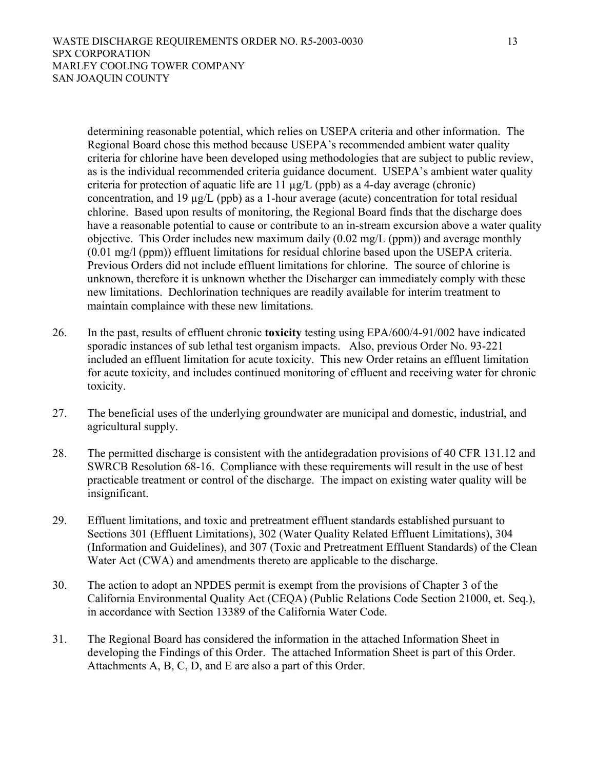determining reasonable potential, which relies on USEPA criteria and other information. The Regional Board chose this method because USEPA's recommended ambient water quality criteria for chlorine have been developed using methodologies that are subject to public review, as is the individual recommended criteria guidance document. USEPA's ambient water quality criteria for protection of aquatic life are  $11 \mu g/L$  (ppb) as a 4-day average (chronic) concentration, and 19 µg/L (ppb) as a 1-hour average (acute) concentration for total residual chlorine. Based upon results of monitoring, the Regional Board finds that the discharge does have a reasonable potential to cause or contribute to an in-stream excursion above a water quality objective. This Order includes new maximum daily (0.02 mg/L (ppm)) and average monthly (0.01 mg/l (ppm)) effluent limitations for residual chlorine based upon the USEPA criteria. Previous Orders did not include effluent limitations for chlorine. The source of chlorine is unknown, therefore it is unknown whether the Discharger can immediately comply with these new limitations. Dechlorination techniques are readily available for interim treatment to maintain complaince with these new limitations.

- 26. In the past, results of effluent chronic **toxicity** testing using EPA/600/4-91/002 have indicated sporadic instances of sub lethal test organism impacts. Also, previous Order No. 93-221 included an effluent limitation for acute toxicity. This new Order retains an effluent limitation for acute toxicity, and includes continued monitoring of effluent and receiving water for chronic toxicity.
- 27. The beneficial uses of the underlying groundwater are municipal and domestic, industrial, and agricultural supply.
- 28. The permitted discharge is consistent with the antidegradation provisions of 40 CFR 131.12 and SWRCB Resolution 68-16. Compliance with these requirements will result in the use of best practicable treatment or control of the discharge. The impact on existing water quality will be insignificant.
- 29. Effluent limitations, and toxic and pretreatment effluent standards established pursuant to Sections 301 (Effluent Limitations), 302 (Water Quality Related Effluent Limitations), 304 (Information and Guidelines), and 307 (Toxic and Pretreatment Effluent Standards) of the Clean Water Act (CWA) and amendments thereto are applicable to the discharge.
- 30. The action to adopt an NPDES permit is exempt from the provisions of Chapter 3 of the California Environmental Quality Act (CEQA) (Public Relations Code Section 21000, et. Seq.), in accordance with Section 13389 of the California Water Code.
- 31. The Regional Board has considered the information in the attached Information Sheet in developing the Findings of this Order. The attached Information Sheet is part of this Order. Attachments A, B, C, D, and E are also a part of this Order.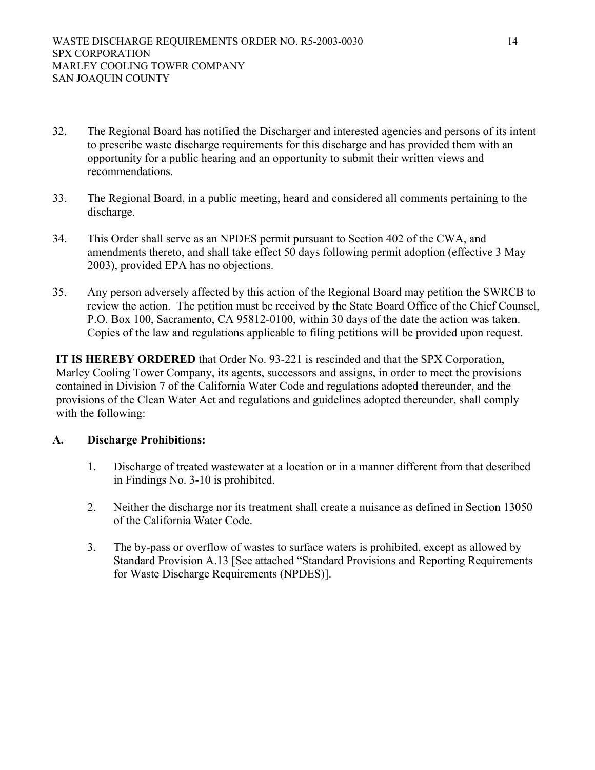- 32. The Regional Board has notified the Discharger and interested agencies and persons of its intent to prescribe waste discharge requirements for this discharge and has provided them with an opportunity for a public hearing and an opportunity to submit their written views and recommendations.
- 33. The Regional Board, in a public meeting, heard and considered all comments pertaining to the discharge.
- 34. This Order shall serve as an NPDES permit pursuant to Section 402 of the CWA, and amendments thereto, and shall take effect 50 days following permit adoption (effective 3 May 2003), provided EPA has no objections.
- 35. Any person adversely affected by this action of the Regional Board may petition the SWRCB to review the action. The petition must be received by the State Board Office of the Chief Counsel, P.O. Box 100, Sacramento, CA 95812-0100, within 30 days of the date the action was taken. Copies of the law and regulations applicable to filing petitions will be provided upon request.

**IT IS HEREBY ORDERED** that Order No. 93-221 is rescinded and that the SPX Corporation, Marley Cooling Tower Company, its agents, successors and assigns, in order to meet the provisions contained in Division 7 of the California Water Code and regulations adopted thereunder, and the provisions of the Clean Water Act and regulations and guidelines adopted thereunder, shall comply with the following:

# **A. Discharge Prohibitions:**

- 1. Discharge of treated wastewater at a location or in a manner different from that described in Findings No. 3-10 is prohibited.
- 2. Neither the discharge nor its treatment shall create a nuisance as defined in Section 13050 of the California Water Code.
- 3. The by-pass or overflow of wastes to surface waters is prohibited, except as allowed by Standard Provision A.13 [See attached "Standard Provisions and Reporting Requirements for Waste Discharge Requirements (NPDES)].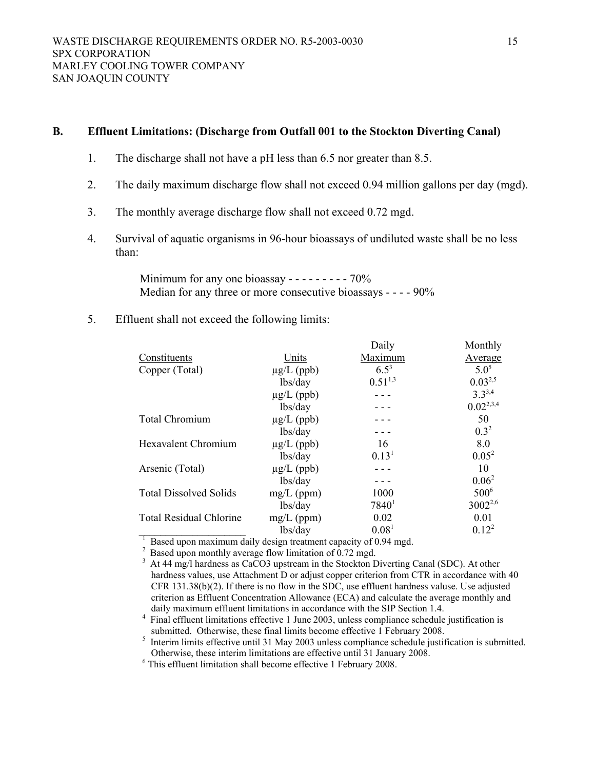## **B. Effluent Limitations: (Discharge from Outfall 001 to the Stockton Diverting Canal)**

- 1. The discharge shall not have a pH less than 6.5 nor greater than 8.5.
- 2. The daily maximum discharge flow shall not exceed 0.94 million gallons per day (mgd).
- 3. The monthly average discharge flow shall not exceed 0.72 mgd.
- 4. Survival of aquatic organisms in 96-hour bioassays of undiluted waste shall be no less than:

Minimum for any one bioassay - - - - - - - - - 70% Median for any three or more consecutive bioassays - - - - 90%

5. Effluent shall not exceed the following limits:

|                                                                       |                 | Daily             | Monthly        |
|-----------------------------------------------------------------------|-----------------|-------------------|----------------|
| Constituents                                                          | Units           | Maximum           | Average        |
| Copper (Total)                                                        | $\mu$ g/L (ppb) | $6.5^3$           | $5.0^{5}$      |
|                                                                       | lbs/day         | $0.51^{1,3}$      | $0.03^{2,5}$   |
|                                                                       | $\mu$ g/L (ppb) |                   | $3.3^{3,4}$    |
|                                                                       | lbs/day         |                   | $0.02^{2,3,4}$ |
| <b>Total Chromium</b>                                                 | $\mu$ g/L (ppb) |                   | 50             |
|                                                                       | lbs/day         |                   | $0.3^2$        |
| <b>Hexavalent Chromium</b>                                            | $\mu$ g/L (ppb) | 16                | 8.0            |
|                                                                       | lbs/day         | 0.13 <sup>1</sup> | $0.05^2$       |
| Arsenic (Total)                                                       | $\mu$ g/L (ppb) |                   | 10             |
|                                                                       | lbs/day         |                   | $0.06^2$       |
| <b>Total Dissolved Solids</b>                                         | $mg/L$ (ppm)    | 1000              | $500^6$        |
|                                                                       | lbs/day         | $7840^1$          | $3002^{2,6}$   |
| <b>Total Residual Chlorine</b>                                        | $mg/L$ (ppm)    | 0.02              | 0.01           |
|                                                                       | lbs/day         | 0.08 <sup>1</sup> | $0.12^2$       |
| $^{-1}$ Bosed upon maximum daily design treatment cancely of 0.04 mod |                 |                   |                |

This effluent limitation shall become effective 1 February 2008.

<sup>&</sup>lt;sup>1</sup> Based upon maximum daily design treatment capacity of 0.94 mgd.<br><sup>2</sup> Based upon monthly average flow limitation of 0.72 mgd.<br><sup>3</sup> At 44 mg/l hardness as CaCO3 upstream in the Stockton Diverting Canal (SDC). At other hardness values, use Attachment D or adjust copper criterion from CTR in accordance with 40 CFR 131.38(b)(2). If there is no flow in the SDC, use effluent hardness valuse. Use adjusted criterion as Effluent Concentration Allowance (ECA) and calculate the average monthly and daily maximum effluent limitations in accordance with the SIP Section 1.4.

Final effluent limitations effective 1 June 2003, unless compliance schedule justification is<br>submitted. Otherwise, these final limits become effective 1 February 2008.

submitted. Otherwise, these final limits become effective 1 February 2008.<br>
<sup>5</sup> Interim limits effective until 31 May 2003 unless compliance schedule justification is submitted. Otherwise, these interim limitations are effective until 31 January 2008. 6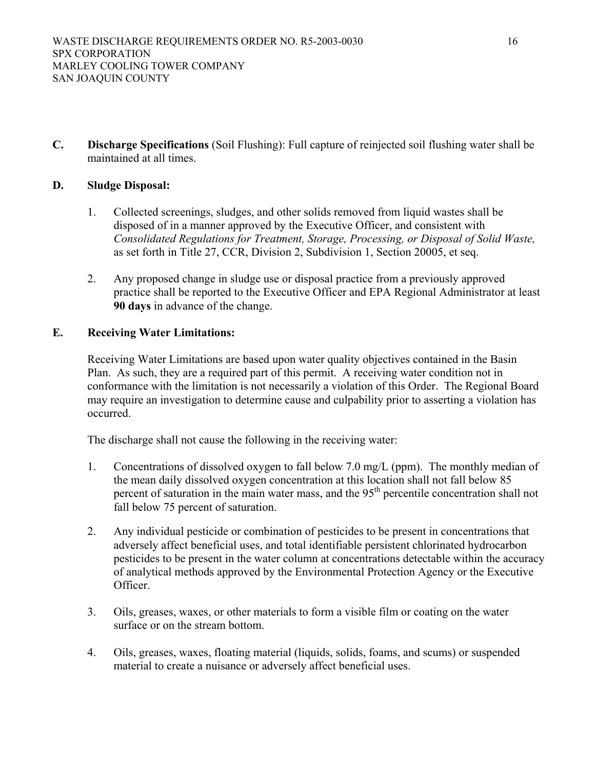**C. Discharge Specifications** (Soil Flushing): Full capture of reinjected soil flushing water shall be maintained at all times.

# **D. Sludge Disposal:**

- 1. Collected screenings, sludges, and other solids removed from liquid wastes shall be disposed of in a manner approved by the Executive Officer, and consistent with *Consolidated Regulations for Treatment, Storage, Processing, or Disposal of Solid Waste,*  as set forth in Title 27, CCR, Division 2, Subdivision 1, Section 20005, et seq.
- 2. Any proposed change in sludge use or disposal practice from a previously approved practice shall be reported to the Executive Officer and EPA Regional Administrator at least **90 days** in advance of the change.

# **E. Receiving Water Limitations:**

Receiving Water Limitations are based upon water quality objectives contained in the Basin Plan. As such, they are a required part of this permit. A receiving water condition not in conformance with the limitation is not necessarily a violation of this Order. The Regional Board may require an investigation to determine cause and culpability prior to asserting a violation has occurred.

The discharge shall not cause the following in the receiving water:

- 1. Concentrations of dissolved oxygen to fall below 7.0 mg/L (ppm). The monthly median of the mean daily dissolved oxygen concentration at this location shall not fall below 85 percent of saturation in the main water mass, and the 95<sup>th</sup> percentile concentration shall not fall below 75 percent of saturation.
- 2. Any individual pesticide or combination of pesticides to be present in concentrations that adversely affect beneficial uses, and total identifiable persistent chlorinated hydrocarbon pesticides to be present in the water column at concentrations detectable within the accuracy of analytical methods approved by the Environmental Protection Agency or the Executive Officer.
- 3. Oils, greases, waxes, or other materials to form a visible film or coating on the water surface or on the stream bottom.
- 4. Oils, greases, waxes, floating material (liquids, solids, foams, and scums) or suspended material to create a nuisance or adversely affect beneficial uses.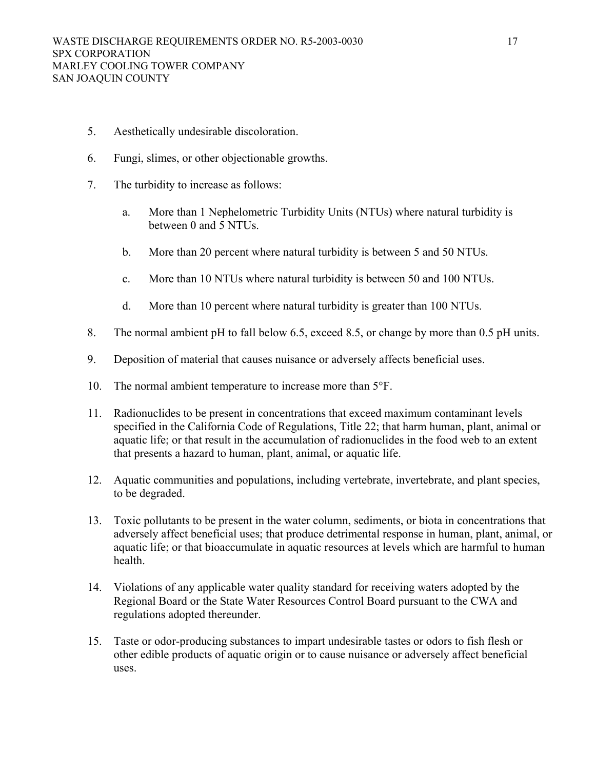- 5. Aesthetically undesirable discoloration.
- 6. Fungi, slimes, or other objectionable growths.
- 7. The turbidity to increase as follows:
	- a. More than 1 Nephelometric Turbidity Units (NTUs) where natural turbidity is between 0 and 5 NTUs.
	- b. More than 20 percent where natural turbidity is between 5 and 50 NTUs.
	- c. More than 10 NTUs where natural turbidity is between 50 and 100 NTUs.
	- d. More than 10 percent where natural turbidity is greater than 100 NTUs.
- 8. The normal ambient pH to fall below 6.5, exceed 8.5, or change by more than 0.5 pH units.
- 9. Deposition of material that causes nuisance or adversely affects beneficial uses.
- 10. The normal ambient temperature to increase more than 5°F.
- 11. Radionuclides to be present in concentrations that exceed maximum contaminant levels specified in the California Code of Regulations, Title 22; that harm human, plant, animal or aquatic life; or that result in the accumulation of radionuclides in the food web to an extent that presents a hazard to human, plant, animal, or aquatic life.
- 12. Aquatic communities and populations, including vertebrate, invertebrate, and plant species, to be degraded.
- 13. Toxic pollutants to be present in the water column, sediments, or biota in concentrations that adversely affect beneficial uses; that produce detrimental response in human, plant, animal, or aquatic life; or that bioaccumulate in aquatic resources at levels which are harmful to human health.
- 14. Violations of any applicable water quality standard for receiving waters adopted by the Regional Board or the State Water Resources Control Board pursuant to the CWA and regulations adopted thereunder.
- 15. Taste or odor-producing substances to impart undesirable tastes or odors to fish flesh or other edible products of aquatic origin or to cause nuisance or adversely affect beneficial uses.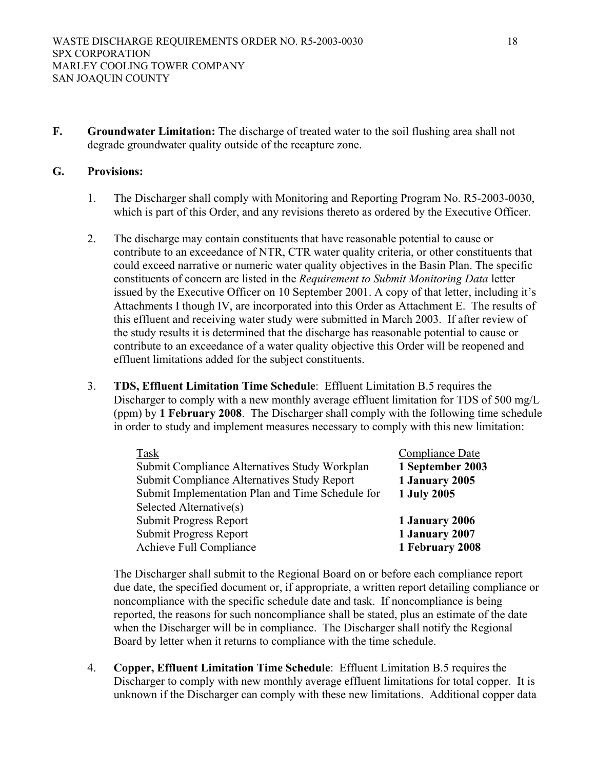**F. Groundwater Limitation:** The discharge of treated water to the soil flushing area shall not degrade groundwater quality outside of the recapture zone.

## **G. Provisions:**

- 1. The Discharger shall comply with Monitoring and Reporting Program No. R5-2003-0030, which is part of this Order, and any revisions thereto as ordered by the Executive Officer.
- 2. The discharge may contain constituents that have reasonable potential to cause or contribute to an exceedance of NTR, CTR water quality criteria, or other constituents that could exceed narrative or numeric water quality objectives in the Basin Plan. The specific constituents of concern are listed in the *Requirement to Submit Monitoring Data* letter issued by the Executive Officer on 10 September 2001. A copy of that letter, including it's Attachments I though IV, are incorporated into this Order as Attachment E. The results of this effluent and receiving water study were submitted in March 2003. If after review of the study results it is determined that the discharge has reasonable potential to cause or contribute to an exceedance of a water quality objective this Order will be reopened and effluent limitations added for the subject constituents.
- 3. **TDS, Effluent Limitation Time Schedule**: Effluent Limitation B.5 requires the Discharger to comply with a new monthly average effluent limitation for TDS of 500 mg/L (ppm) by **1 February 2008**. The Discharger shall comply with the following time schedule in order to study and implement measures necessary to comply with this new limitation:

| Task                                             | Compliance Date  |
|--------------------------------------------------|------------------|
| Submit Compliance Alternatives Study Workplan    | 1 September 2003 |
| Submit Compliance Alternatives Study Report      | 1 January 2005   |
| Submit Implementation Plan and Time Schedule for | 1 July 2005      |
| Selected Alternative(s)                          |                  |
| Submit Progress Report                           | 1 January 2006   |
| Submit Progress Report                           | 1 January 2007   |
| Achieve Full Compliance                          | 1 February 2008  |

The Discharger shall submit to the Regional Board on or before each compliance report due date, the specified document or, if appropriate, a written report detailing compliance or noncompliance with the specific schedule date and task. If noncompliance is being reported, the reasons for such noncompliance shall be stated, plus an estimate of the date when the Discharger will be in compliance. The Discharger shall notify the Regional Board by letter when it returns to compliance with the time schedule.

4. **Copper, Effluent Limitation Time Schedule**: Effluent Limitation B.5 requires the Discharger to comply with new monthly average effluent limitations for total copper. It is unknown if the Discharger can comply with these new limitations. Additional copper data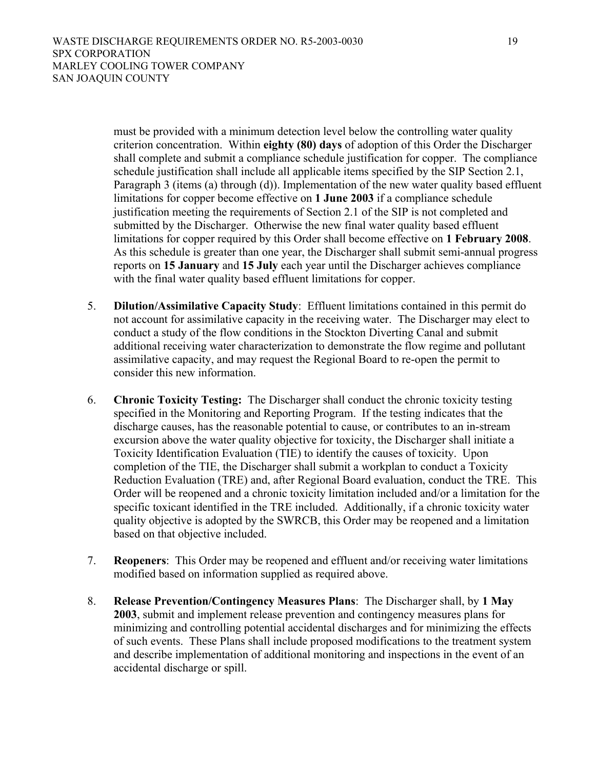must be provided with a minimum detection level below the controlling water quality criterion concentration. Within **eighty (80) days** of adoption of this Order the Discharger shall complete and submit a compliance schedule justification for copper. The compliance schedule justification shall include all applicable items specified by the SIP Section 2.1, Paragraph 3 (items (a) through (d)). Implementation of the new water quality based effluent limitations for copper become effective on **1 June 2003** if a compliance schedule justification meeting the requirements of Section 2.1 of the SIP is not completed and submitted by the Discharger. Otherwise the new final water quality based effluent limitations for copper required by this Order shall become effective on **1 February 2008**. As this schedule is greater than one year, the Discharger shall submit semi-annual progress reports on **15 January** and **15 July** each year until the Discharger achieves compliance with the final water quality based effluent limitations for copper.

- 5. **Dilution/Assimilative Capacity Study**: Effluent limitations contained in this permit do not account for assimilative capacity in the receiving water. The Discharger may elect to conduct a study of the flow conditions in the Stockton Diverting Canal and submit additional receiving water characterization to demonstrate the flow regime and pollutant assimilative capacity, and may request the Regional Board to re-open the permit to consider this new information.
- 6. **Chronic Toxicity Testing:** The Discharger shall conduct the chronic toxicity testing specified in the Monitoring and Reporting Program. If the testing indicates that the discharge causes, has the reasonable potential to cause, or contributes to an in-stream excursion above the water quality objective for toxicity, the Discharger shall initiate a Toxicity Identification Evaluation (TIE) to identify the causes of toxicity. Upon completion of the TIE, the Discharger shall submit a workplan to conduct a Toxicity Reduction Evaluation (TRE) and, after Regional Board evaluation, conduct the TRE. This Order will be reopened and a chronic toxicity limitation included and/or a limitation for the specific toxicant identified in the TRE included. Additionally, if a chronic toxicity water quality objective is adopted by the SWRCB, this Order may be reopened and a limitation based on that objective included.
- 7. **Reopeners**: This Order may be reopened and effluent and/or receiving water limitations modified based on information supplied as required above.
- 8. **Release Prevention/Contingency Measures Plans**: The Discharger shall, by **1 May 2003**, submit and implement release prevention and contingency measures plans for minimizing and controlling potential accidental discharges and for minimizing the effects of such events. These Plans shall include proposed modifications to the treatment system and describe implementation of additional monitoring and inspections in the event of an accidental discharge or spill.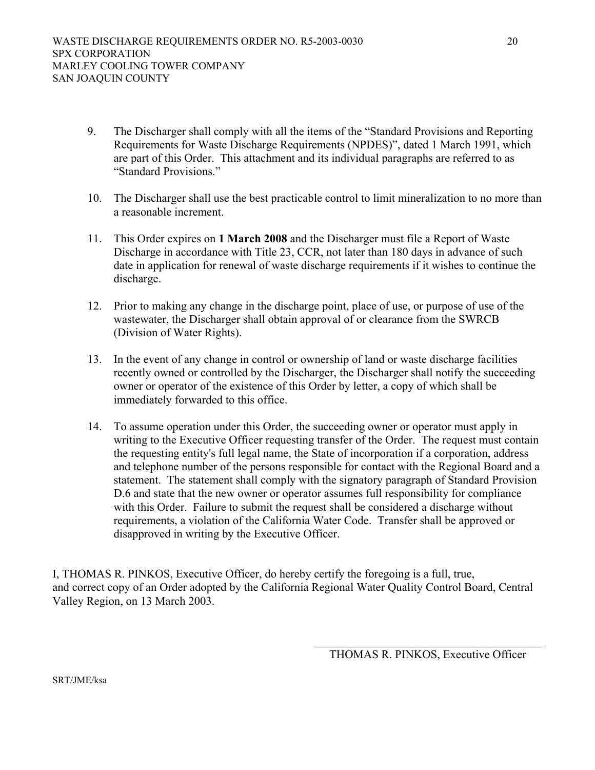- 9. The Discharger shall comply with all the items of the "Standard Provisions and Reporting Requirements for Waste Discharge Requirements (NPDES)", dated 1 March 1991, which are part of this Order. This attachment and its individual paragraphs are referred to as "Standard Provisions."
- 10. The Discharger shall use the best practicable control to limit mineralization to no more than a reasonable increment.
- 11. This Order expires on **1 March 2008** and the Discharger must file a Report of Waste Discharge in accordance with Title 23, CCR, not later than 180 days in advance of such date in application for renewal of waste discharge requirements if it wishes to continue the discharge.
- 12. Prior to making any change in the discharge point, place of use, or purpose of use of the wastewater, the Discharger shall obtain approval of or clearance from the SWRCB (Division of Water Rights).
- 13. In the event of any change in control or ownership of land or waste discharge facilities recently owned or controlled by the Discharger, the Discharger shall notify the succeeding owner or operator of the existence of this Order by letter, a copy of which shall be immediately forwarded to this office.
- 14. To assume operation under this Order, the succeeding owner or operator must apply in writing to the Executive Officer requesting transfer of the Order. The request must contain the requesting entity's full legal name, the State of incorporation if a corporation, address and telephone number of the persons responsible for contact with the Regional Board and a statement. The statement shall comply with the signatory paragraph of Standard Provision D.6 and state that the new owner or operator assumes full responsibility for compliance with this Order. Failure to submit the request shall be considered a discharge without requirements, a violation of the California Water Code. Transfer shall be approved or disapproved in writing by the Executive Officer.

I, THOMAS R. PINKOS, Executive Officer, do hereby certify the foregoing is a full, true, and correct copy of an Order adopted by the California Regional Water Quality Control Board, Central Valley Region, on 13 March 2003.

SRT/JME/ksa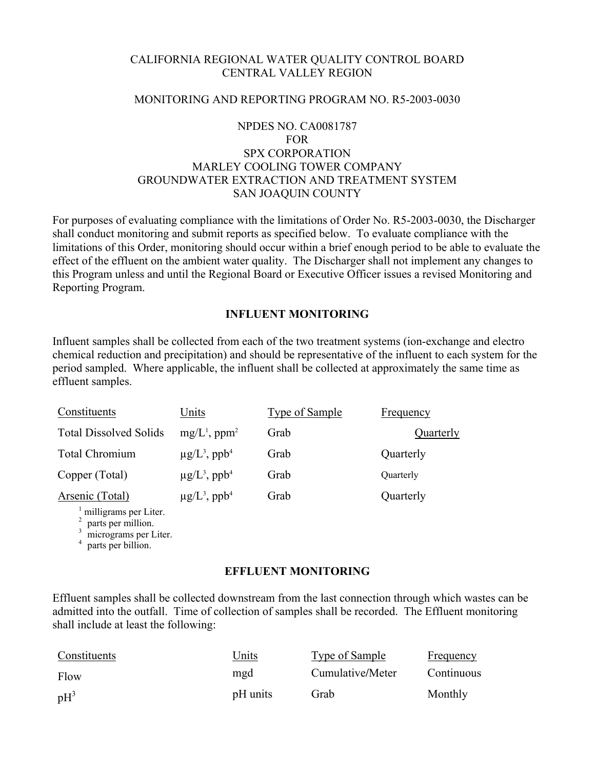# CALIFORNIA REGIONAL WATER QUALITY CONTROL BOARD CENTRAL VALLEY REGION

## MONITORING AND REPORTING PROGRAM NO. R5-2003-0030

# NPDES NO. CA0081787 FOR SPX CORPORATION MARLEY COOLING TOWER COMPANY GROUNDWATER EXTRACTION AND TREATMENT SYSTEM SAN JOAQUIN COUNTY

For purposes of evaluating compliance with the limitations of Order No. R5-2003-0030, the Discharger shall conduct monitoring and submit reports as specified below. To evaluate compliance with the limitations of this Order, monitoring should occur within a brief enough period to be able to evaluate the effect of the effluent on the ambient water quality. The Discharger shall not implement any changes to this Program unless and until the Regional Board or Executive Officer issues a revised Monitoring and Reporting Program.

# **INFLUENT MONITORING**

Influent samples shall be collected from each of the two treatment systems (ion-exchange and electro chemical reduction and precipitation) and should be representative of the influent to each system for the period sampled. Where applicable, the influent shall be collected at approximately the same time as effluent samples.

| Constituents                  | Units                                     | Type of Sample | Frequency |
|-------------------------------|-------------------------------------------|----------------|-----------|
| <b>Total Dissolved Solids</b> | $mg/L^1$ , ppm <sup>2</sup>               | Grab           | Quarterly |
| Total Chromium                | $\mu$ g/L <sup>3</sup> , ppb <sup>4</sup> | Grab           | Quarterly |
| Copper (Total)                | $\mu$ g/L <sup>3</sup> , ppb <sup>4</sup> | Grab           | Quarterly |
| Arsenic (Total)               | $\mu$ g/L <sup>3</sup> , ppb <sup>4</sup> | Grab           | Quarterly |
| $\pm$ milliorame ner Liter    |                                           |                |           |

milligrams per Liter.<br> $\frac{2}{3}$  parts per million.<br> $\frac{3}{3}$  micrograms per Liter.

<sup>4</sup> parts per billion.

### **EFFLUENT MONITORING**

Effluent samples shall be collected downstream from the last connection through which wastes can be admitted into the outfall. Time of collection of samples shall be recorded. The Effluent monitoring shall include at least the following:

| Constituents | Units    | Type of Sample   | Frequency  |
|--------------|----------|------------------|------------|
| Flow         | mgd      | Cumulative/Meter | Continuous |
| $pH^3$       | pH units | Grab             | Monthly    |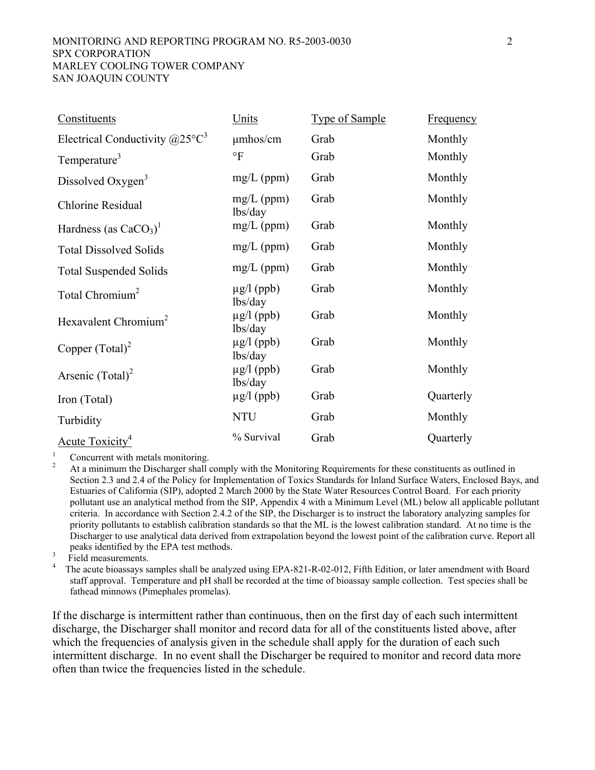#### MONITORING AND REPORTING PROGRAM NO. R5-2003-0030 2 SPX CORPORATION MARLEY COOLING TOWER COMPANY SAN JOAQUIN COUNTY

| Constituents                               | Units                      | <b>Type of Sample</b> | Frequency |
|--------------------------------------------|----------------------------|-----------------------|-----------|
| Electrical Conductivity $(a)25^{\circ}C^3$ | $\mu$ mhos/cm              | Grab                  | Monthly   |
| Temperature <sup>3</sup>                   | $\circ$ F                  | Grab                  | Monthly   |
| Dissolved Oxygen <sup>3</sup>              | $mg/L$ (ppm)               | Grab                  | Monthly   |
| Chlorine Residual                          | $mg/L$ (ppm)<br>lbs/day    | Grab                  | Monthly   |
| Hardness (as $CaCO3$ ) <sup>1</sup>        | $mg/L$ (ppm)               | Grab                  | Monthly   |
| <b>Total Dissolved Solids</b>              | $mg/L$ (ppm)               | Grab                  | Monthly   |
| <b>Total Suspended Solids</b>              | $mg/L$ (ppm)               | Grab                  | Monthly   |
| Total Chromium <sup>2</sup>                | $\mu$ g/l (ppb)<br>lbs/day | Grab                  | Monthly   |
| Hexavalent Chromium <sup>2</sup>           | $\mu$ g/l (ppb)<br>lbs/day | Grab                  | Monthly   |
| Copper $(Total)^2$                         | $\mu$ g/l (ppb)<br>lbs/day | Grab                  | Monthly   |
| Arsenic $(Total)^2$                        | $\mu$ g/l (ppb)<br>lbs/day | Grab                  | Monthly   |
| Iron (Total)                               | $\mu$ g/l (ppb)            | Grab                  | Quarterly |
| Turbidity                                  | <b>NTU</b>                 | Grab                  | Monthly   |
| Acute Toxicity <sup>4</sup>                | % Survival                 | Grab                  | Quarterly |

1

<sup>1</sup> Concurrent with metals monitoring.<br><sup>2</sup> At a minimum the Discharger shall comply with the Monitoring Requirements for these constituents as outlined in Section 2.3 and 2.4 of the Policy for Implementation of Toxics Standards for Inland Surface Waters, Enclosed Bays, and Estuaries of California (SIP), adopted 2 March 2000 by the State Water Resources Control Board. For each priority pollutant use an analytical method from the SIP, Appendix 4 with a Minimum Level (ML) below all applicable pollutant criteria. In accordance with Section 2.4.2 of the SIP, the Discharger is to instruct the laboratory analyzing samples for priority pollutants to establish calibration standards so that the ML is the lowest calibration standard. At no time is the Discharger to use analytical data derived from extrapolation beyond the lowest point of the calibration curve. Report all peaks identified by the EPA test methods. .

 $\frac{3}{4}$  Field measurements.

 The acute bioassays samples shall be analyzed using EPA-821-R-02-012, Fifth Edition, or later amendment with Board staff approval. Temperature and pH shall be recorded at the time of bioassay sample collection. Test species shall be fathead minnows (Pimephales promelas).

If the discharge is intermittent rather than continuous, then on the first day of each such intermittent discharge, the Discharger shall monitor and record data for all of the constituents listed above, after which the frequencies of analysis given in the schedule shall apply for the duration of each such intermittent discharge. In no event shall the Discharger be required to monitor and record data more often than twice the frequencies listed in the schedule.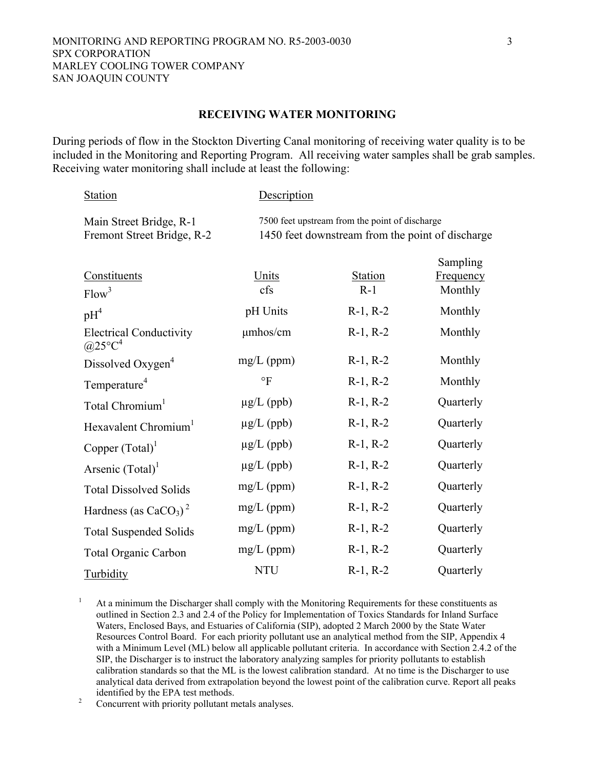#### **RECEIVING WATER MONITORING**

During periods of flow in the Stockton Diverting Canal monitoring of receiving water quality is to be included in the Monitoring and Reporting Program. All receiving water samples shall be grab samples. Receiving water monitoring shall include at least the following:

| <b>Station</b>                                        | Description     |                                                                                                    |                                  |
|-------------------------------------------------------|-----------------|----------------------------------------------------------------------------------------------------|----------------------------------|
| Main Street Bridge, R-1<br>Fremont Street Bridge, R-2 |                 | 7500 feet upstream from the point of discharge<br>1450 feet downstream from the point of discharge |                                  |
| Constituents<br>Flow <sup>3</sup>                     | Units<br>cfs    | <b>Station</b><br>$R-1$                                                                            | Sampling<br>Frequency<br>Monthly |
| $pH^4$                                                | pH Units        | $R-1, R-2$                                                                                         | Monthly                          |
| <b>Electrical Conductivity</b><br>$@25^{\circ}C^4$    | $\mu$ mhos/cm   | $R-1, R-2$                                                                                         | Monthly                          |
| Dissolved Oxygen <sup>4</sup>                         | $mg/L$ (ppm)    | $R-1, R-2$                                                                                         | Monthly                          |
| Temperature <sup>4</sup>                              | $\circ$ F       | $R-1, R-2$                                                                                         | Monthly                          |
| Total Chromium <sup>1</sup>                           | $\mu$ g/L (ppb) | $R-1, R-2$                                                                                         | Quarterly                        |
| Hexavalent Chromium <sup>1</sup>                      | $\mu$ g/L (ppb) | $R-1, R-2$                                                                                         | Quarterly                        |
| Copper $(Total)^{1}$                                  | $\mu$ g/L (ppb) | $R-1, R-2$                                                                                         | Quarterly                        |
| Arsenic $(Total)^{1}$                                 | $\mu$ g/L (ppb) | $R-1, R-2$                                                                                         | Quarterly                        |
| <b>Total Dissolved Solids</b>                         | $mg/L$ (ppm)    | $R-1, R-2$                                                                                         | Quarterly                        |
| Hardness (as $CaCO3$ ) <sup>2</sup>                   | $mg/L$ (ppm)    | $R-1, R-2$                                                                                         | Quarterly                        |
| <b>Total Suspended Solids</b>                         | $mg/L$ (ppm)    | $R-1, R-2$                                                                                         | Quarterly                        |
| <b>Total Organic Carbon</b>                           | $mg/L$ (ppm)    | $R-1, R-2$                                                                                         | Quarterly                        |
| <b>Turbidity</b>                                      | <b>NTU</b>      | $R-1, R-2$                                                                                         | Quarterly                        |

1 At a minimum the Discharger shall comply with the Monitoring Requirements for these constituents as outlined in Section 2.3 and 2.4 of the Policy for Implementation of Toxics Standards for Inland Surface Waters, Enclosed Bays, and Estuaries of California (SIP), adopted 2 March 2000 by the State Water Resources Control Board. For each priority pollutant use an analytical method from the SIP, Appendix 4 with a Minimum Level (ML) below all applicable pollutant criteria. In accordance with Section 2.4.2 of the SIP, the Discharger is to instruct the laboratory analyzing samples for priority pollutants to establish calibration standards so that the ML is the lowest calibration standard. At no time is the Discharger to use analytical data derived from extrapolation beyond the lowest point of the calibration curve. Report all peaks

identified by the EPA test methods.<br><sup>2</sup> Concurrent with priority pollutant metals analyses.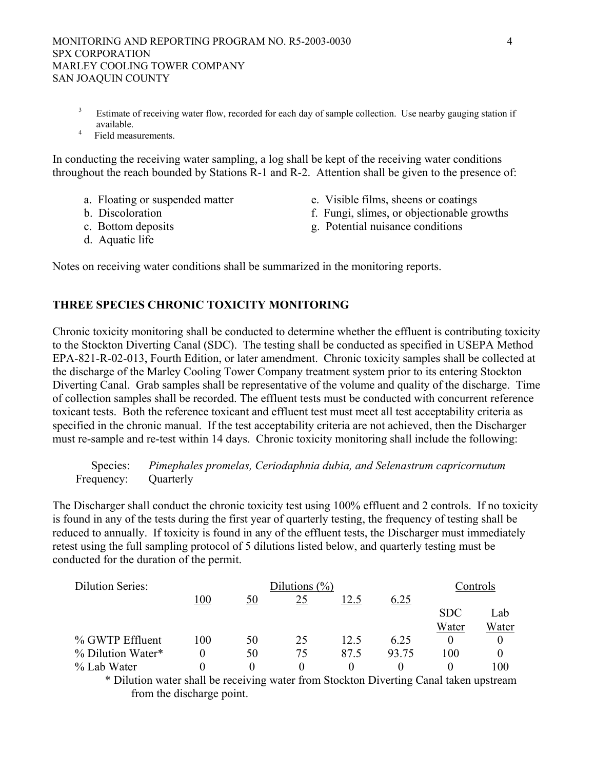- <sup>3</sup> Estimate of receiving water flow, recorded for each day of sample collection. Use nearby gauging station if available.
- $4$  Field measurements.

In conducting the receiving water sampling, a log shall be kept of the receiving water conditions throughout the reach bounded by Stations R-1 and R-2. Attention shall be given to the presence of:

- 
- 
- 
- d. Aquatic life
- a. Floating or suspended matter e. Visible films, sheens or coatings<br>b. Discoloration f. Fungi slimes or objectionable gives
	- f. Fungi, slimes, or objectionable growths
- c. Bottom deposits g. Potential nuisance conditions

Notes on receiving water conditions shall be summarized in the monitoring reports.

# **THREE SPECIES CHRONIC TOXICITY MONITORING**

Chronic toxicity monitoring shall be conducted to determine whether the effluent is contributing toxicity to the Stockton Diverting Canal (SDC). The testing shall be conducted as specified in USEPA Method EPA-821-R-02-013, Fourth Edition, or later amendment. Chronic toxicity samples shall be collected at the discharge of the Marley Cooling Tower Company treatment system prior to its entering Stockton Diverting Canal. Grab samples shall be representative of the volume and quality of the discharge. Time of collection samples shall be recorded. The effluent tests must be conducted with concurrent reference toxicant tests. Both the reference toxicant and effluent test must meet all test acceptability criteria as specified in the chronic manual. If the test acceptability criteria are not achieved, then the Discharger must re-sample and re-test within 14 days. Chronic toxicity monitoring shall include the following:

 Species: *Pimephales promelas, Ceriodaphnia dubia, and Selenastrum capricornutum* Frequency: Quarterly

The Discharger shall conduct the chronic toxicity test using 100% effluent and 2 controls. If no toxicity is found in any of the tests during the first year of quarterly testing, the frequency of testing shall be reduced to annually. If toxicity is found in any of the effluent tests, the Discharger must immediately retest using the full sampling protocol of 5 dilutions listed below, and quarterly testing must be conducted for the duration of the permit.

| <b>Dilution Series:</b> |     |          | Dilutions $(\%)$ |      |       |            | Controls |
|-------------------------|-----|----------|------------------|------|-------|------------|----------|
|                         | 100 | 50       | 25               | l2.5 | 6.25  |            |          |
|                         |     |          |                  |      |       | <b>SDC</b> | Lab      |
|                         |     |          |                  |      |       | Water      | Water    |
| % GWTP Effluent         | 100 | 50       | 25               | 12.5 | 6.25  |            |          |
| % Dilution Water*       |     | 50       | 75               | 87 5 | 93.75 | 100        |          |
| % Lab Water             |     | $\theta$ | $\mathbf{0}$     |      |       |            | 100      |

\* Dilution water shall be receiving water from Stockton Diverting Canal taken upstream from the discharge point.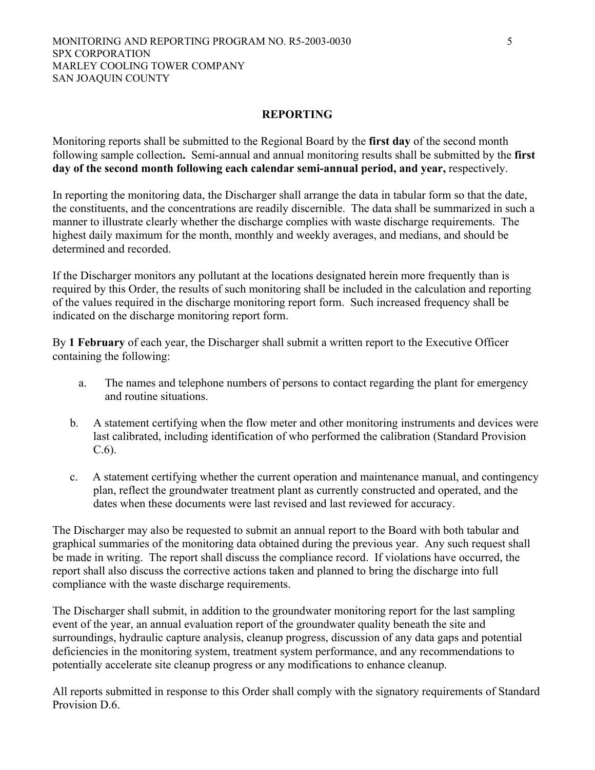## **REPORTING**

Monitoring reports shall be submitted to the Regional Board by the **first day** of the second month following sample collection**.** Semi-annual and annual monitoring results shall be submitted by the **first day of the second month following each calendar semi-annual period, and year,** respectively.

In reporting the monitoring data, the Discharger shall arrange the data in tabular form so that the date, the constituents, and the concentrations are readily discernible. The data shall be summarized in such a manner to illustrate clearly whether the discharge complies with waste discharge requirements. The highest daily maximum for the month, monthly and weekly averages, and medians, and should be determined and recorded.

If the Discharger monitors any pollutant at the locations designated herein more frequently than is required by this Order, the results of such monitoring shall be included in the calculation and reporting of the values required in the discharge monitoring report form. Such increased frequency shall be indicated on the discharge monitoring report form.

By **1 February** of each year, the Discharger shall submit a written report to the Executive Officer containing the following:

- a. The names and telephone numbers of persons to contact regarding the plant for emergency and routine situations.
- b. A statement certifying when the flow meter and other monitoring instruments and devices were last calibrated, including identification of who performed the calibration (Standard Provision C.6).
- c. A statement certifying whether the current operation and maintenance manual, and contingency plan, reflect the groundwater treatment plant as currently constructed and operated, and the dates when these documents were last revised and last reviewed for accuracy.

The Discharger may also be requested to submit an annual report to the Board with both tabular and graphical summaries of the monitoring data obtained during the previous year. Any such request shall be made in writing. The report shall discuss the compliance record. If violations have occurred, the report shall also discuss the corrective actions taken and planned to bring the discharge into full compliance with the waste discharge requirements.

The Discharger shall submit, in addition to the groundwater monitoring report for the last sampling event of the year, an annual evaluation report of the groundwater quality beneath the site and surroundings, hydraulic capture analysis, cleanup progress, discussion of any data gaps and potential deficiencies in the monitoring system, treatment system performance, and any recommendations to potentially accelerate site cleanup progress or any modifications to enhance cleanup.

All reports submitted in response to this Order shall comply with the signatory requirements of Standard Provision D.6.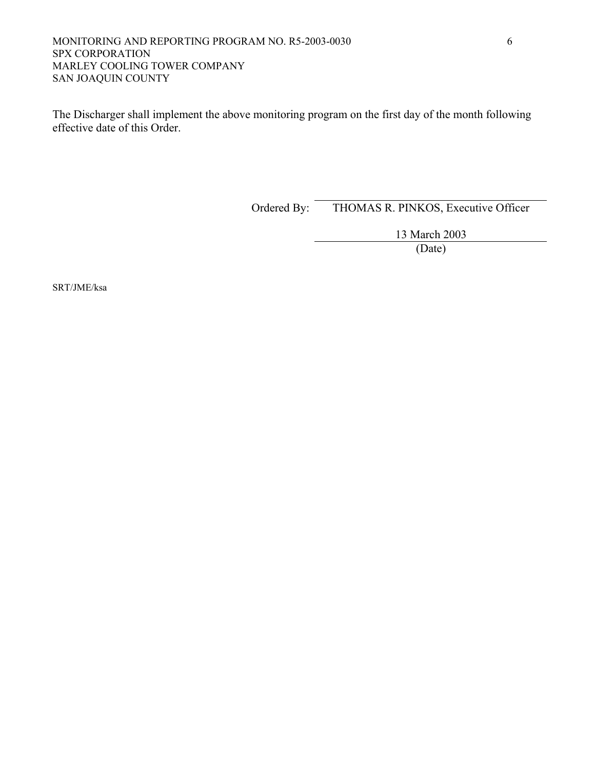### MONITORING AND REPORTING PROGRAM NO. R5-2003-0030 6 SPX CORPORATION MARLEY COOLING TOWER COMPANY SAN JOAQUIN COUNTY

The Discharger shall implement the above monitoring program on the first day of the month following effective date of this Order.

Ordered By: THOMAS R. PINKOS, Executive Officer

13 March 2003

(Date)

SRT/JME/ksa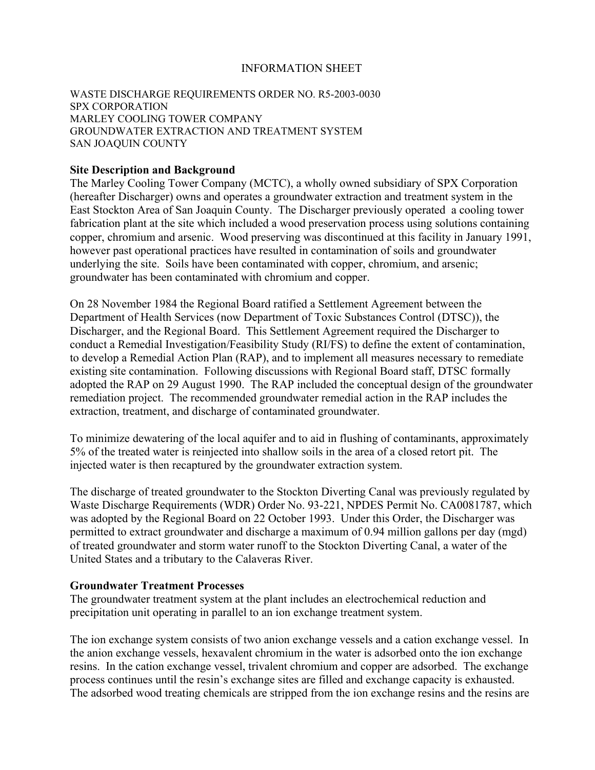# INFORMATION SHEET

## WASTE DISCHARGE REQUIREMENTS ORDER NO. R5-2003-0030 SPX CORPORATION MARLEY COOLING TOWER COMPANY GROUNDWATER EXTRACTION AND TREATMENT SYSTEM SAN JOAQUIN COUNTY

## **Site Description and Background**

The Marley Cooling Tower Company (MCTC), a wholly owned subsidiary of SPX Corporation (hereafter Discharger) owns and operates a groundwater extraction and treatment system in the East Stockton Area of San Joaquin County. The Discharger previously operated a cooling tower fabrication plant at the site which included a wood preservation process using solutions containing copper, chromium and arsenic. Wood preserving was discontinued at this facility in January 1991, however past operational practices have resulted in contamination of soils and groundwater underlying the site. Soils have been contaminated with copper, chromium, and arsenic; groundwater has been contaminated with chromium and copper.

On 28 November 1984 the Regional Board ratified a Settlement Agreement between the Department of Health Services (now Department of Toxic Substances Control (DTSC)), the Discharger, and the Regional Board. This Settlement Agreement required the Discharger to conduct a Remedial Investigation/Feasibility Study (RI/FS) to define the extent of contamination, to develop a Remedial Action Plan (RAP), and to implement all measures necessary to remediate existing site contamination. Following discussions with Regional Board staff, DTSC formally adopted the RAP on 29 August 1990. The RAP included the conceptual design of the groundwater remediation project. The recommended groundwater remedial action in the RAP includes the extraction, treatment, and discharge of contaminated groundwater.

To minimize dewatering of the local aquifer and to aid in flushing of contaminants, approximately 5% of the treated water is reinjected into shallow soils in the area of a closed retort pit. The injected water is then recaptured by the groundwater extraction system.

The discharge of treated groundwater to the Stockton Diverting Canal was previously regulated by Waste Discharge Requirements (WDR) Order No. 93-221, NPDES Permit No. CA0081787, which was adopted by the Regional Board on 22 October 1993. Under this Order, the Discharger was permitted to extract groundwater and discharge a maximum of 0.94 million gallons per day (mgd) of treated groundwater and storm water runoff to the Stockton Diverting Canal, a water of the United States and a tributary to the Calaveras River.

### **Groundwater Treatment Processes**

The groundwater treatment system at the plant includes an electrochemical reduction and precipitation unit operating in parallel to an ion exchange treatment system.

The ion exchange system consists of two anion exchange vessels and a cation exchange vessel. In the anion exchange vessels, hexavalent chromium in the water is adsorbed onto the ion exchange resins. In the cation exchange vessel, trivalent chromium and copper are adsorbed. The exchange process continues until the resin's exchange sites are filled and exchange capacity is exhausted. The adsorbed wood treating chemicals are stripped from the ion exchange resins and the resins are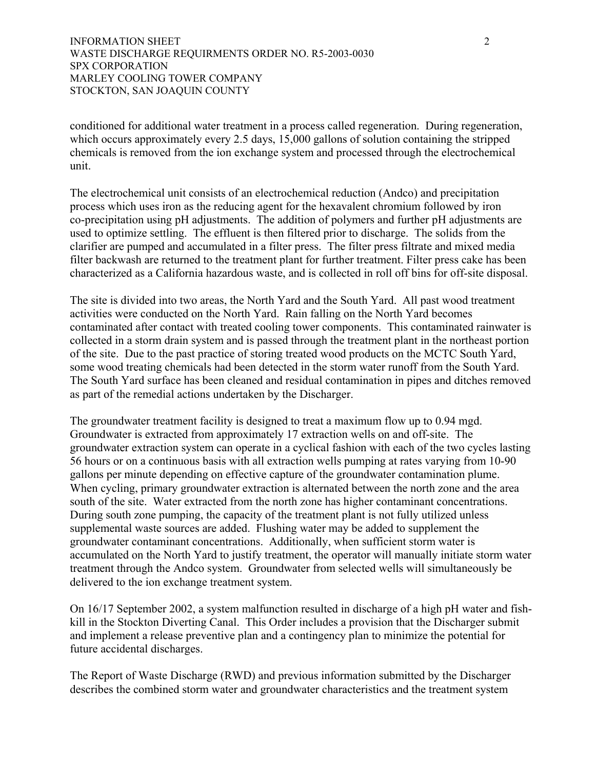conditioned for additional water treatment in a process called regeneration. During regeneration, which occurs approximately every 2.5 days, 15,000 gallons of solution containing the stripped chemicals is removed from the ion exchange system and processed through the electrochemical unit.

The electrochemical unit consists of an electrochemical reduction (Andco) and precipitation process which uses iron as the reducing agent for the hexavalent chromium followed by iron co-precipitation using pH adjustments. The addition of polymers and further pH adjustments are used to optimize settling. The effluent is then filtered prior to discharge. The solids from the clarifier are pumped and accumulated in a filter press. The filter press filtrate and mixed media filter backwash are returned to the treatment plant for further treatment. Filter press cake has been characterized as a California hazardous waste, and is collected in roll off bins for off-site disposal.

The site is divided into two areas, the North Yard and the South Yard. All past wood treatment activities were conducted on the North Yard. Rain falling on the North Yard becomes contaminated after contact with treated cooling tower components. This contaminated rainwater is collected in a storm drain system and is passed through the treatment plant in the northeast portion of the site. Due to the past practice of storing treated wood products on the MCTC South Yard, some wood treating chemicals had been detected in the storm water runoff from the South Yard. The South Yard surface has been cleaned and residual contamination in pipes and ditches removed as part of the remedial actions undertaken by the Discharger.

The groundwater treatment facility is designed to treat a maximum flow up to 0.94 mgd. Groundwater is extracted from approximately 17 extraction wells on and off-site. The groundwater extraction system can operate in a cyclical fashion with each of the two cycles lasting 56 hours or on a continuous basis with all extraction wells pumping at rates varying from 10-90 gallons per minute depending on effective capture of the groundwater contamination plume. When cycling, primary groundwater extraction is alternated between the north zone and the area south of the site. Water extracted from the north zone has higher contaminant concentrations. During south zone pumping, the capacity of the treatment plant is not fully utilized unless supplemental waste sources are added. Flushing water may be added to supplement the groundwater contaminant concentrations. Additionally, when sufficient storm water is accumulated on the North Yard to justify treatment, the operator will manually initiate storm water treatment through the Andco system. Groundwater from selected wells will simultaneously be delivered to the ion exchange treatment system.

On 16/17 September 2002, a system malfunction resulted in discharge of a high pH water and fishkill in the Stockton Diverting Canal. This Order includes a provision that the Discharger submit and implement a release preventive plan and a contingency plan to minimize the potential for future accidental discharges.

The Report of Waste Discharge (RWD) and previous information submitted by the Discharger describes the combined storm water and groundwater characteristics and the treatment system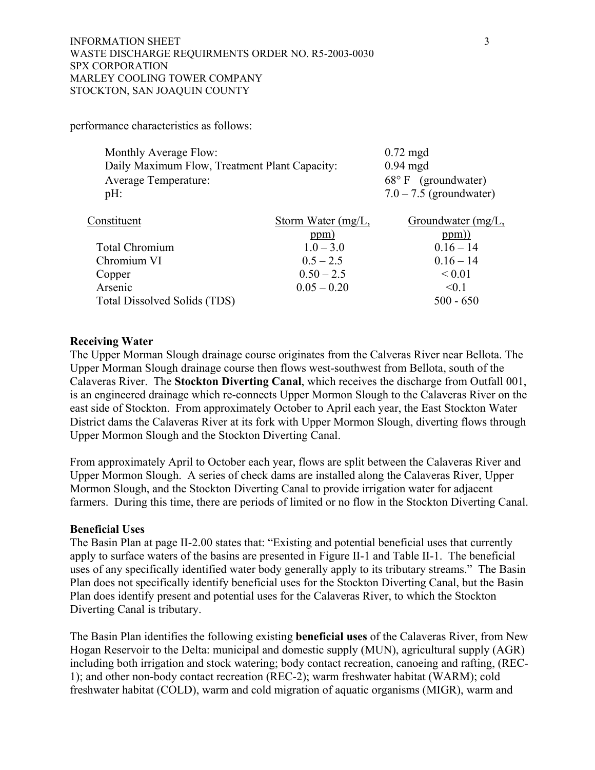performance characteristics as follows:

| Monthly Average Flow:                         | $0.72 \text{ mgd}$           |
|-----------------------------------------------|------------------------------|
| Daily Maximum Flow, Treatment Plant Capacity: | $0.94 \text{ mgd}$           |
| <b>Average Temperature:</b>                   | $68^{\circ}$ F (groundwater) |
| $pH$ :                                        | $7.0 - 7.5$ (groundwater)    |
|                                               |                              |

| Constituent                  | Storm Water $(mg/L)$ , | Groundwater $(mg/L)$ , |
|------------------------------|------------------------|------------------------|
|                              | ppm)                   | ppm))                  |
| <b>Total Chromium</b>        | $1.0 - 3.0$            | $0.16 - 14$            |
| Chromium VI                  | $0.5 - 2.5$            | $0.16 - 14$            |
| Copper                       | $0.50 - 2.5$           | ${}_{0.01}$            |
| Arsenic                      | $0.05 - 0.20$          | $\leq 0.1$             |
| Total Dissolved Solids (TDS) |                        | $500 - 650$            |

# **Receiving Water**

The Upper Morman Slough drainage course originates from the Calveras River near Bellota. The Upper Morman Slough drainage course then flows west-southwest from Bellota, south of the Calaveras River. The **Stockton Diverting Canal**, which receives the discharge from Outfall 001, is an engineered drainage which re-connects Upper Mormon Slough to the Calaveras River on the east side of Stockton. From approximately October to April each year, the East Stockton Water District dams the Calaveras River at its fork with Upper Mormon Slough, diverting flows through Upper Mormon Slough and the Stockton Diverting Canal.

From approximately April to October each year, flows are split between the Calaveras River and Upper Mormon Slough. A series of check dams are installed along the Calaveras River, Upper Mormon Slough, and the Stockton Diverting Canal to provide irrigation water for adjacent farmers. During this time, there are periods of limited or no flow in the Stockton Diverting Canal.

# **Beneficial Uses**

The Basin Plan at page II-2.00 states that: "Existing and potential beneficial uses that currently apply to surface waters of the basins are presented in Figure II-1 and Table II-1. The beneficial uses of any specifically identified water body generally apply to its tributary streams." The Basin Plan does not specifically identify beneficial uses for the Stockton Diverting Canal, but the Basin Plan does identify present and potential uses for the Calaveras River, to which the Stockton Diverting Canal is tributary.

The Basin Plan identifies the following existing **beneficial uses** of the Calaveras River, from New Hogan Reservoir to the Delta: municipal and domestic supply (MUN), agricultural supply (AGR) including both irrigation and stock watering; body contact recreation, canoeing and rafting, (REC-1); and other non-body contact recreation (REC-2); warm freshwater habitat (WARM); cold freshwater habitat (COLD), warm and cold migration of aquatic organisms (MIGR), warm and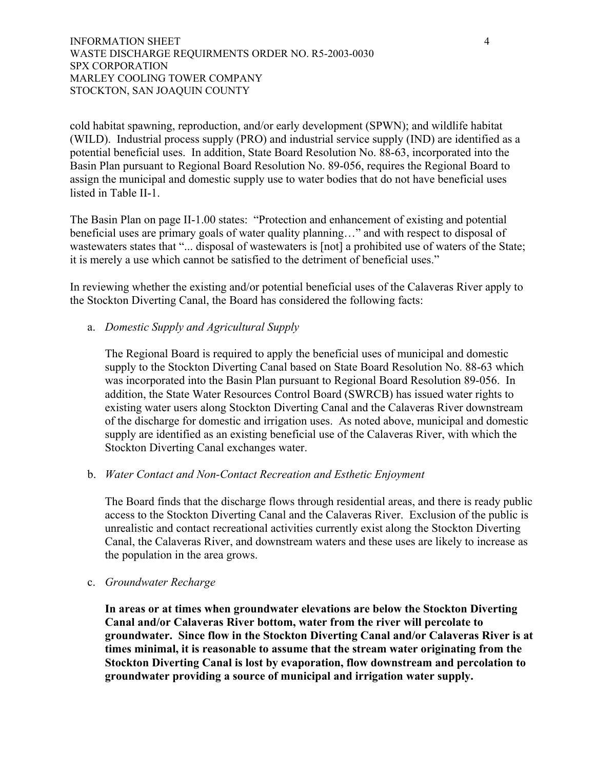cold habitat spawning, reproduction, and/or early development (SPWN); and wildlife habitat (WILD). Industrial process supply (PRO) and industrial service supply (IND) are identified as a potential beneficial uses. In addition, State Board Resolution No. 88-63, incorporated into the Basin Plan pursuant to Regional Board Resolution No. 89-056, requires the Regional Board to assign the municipal and domestic supply use to water bodies that do not have beneficial uses listed in Table II-1.

The Basin Plan on page II-1.00 states: "Protection and enhancement of existing and potential beneficial uses are primary goals of water quality planning…" and with respect to disposal of wastewaters states that "... disposal of wastewaters is [not] a prohibited use of waters of the State; it is merely a use which cannot be satisfied to the detriment of beneficial uses."

In reviewing whether the existing and/or potential beneficial uses of the Calaveras River apply to the Stockton Diverting Canal, the Board has considered the following facts:

## a. *Domestic Supply and Agricultural Supply*

The Regional Board is required to apply the beneficial uses of municipal and domestic supply to the Stockton Diverting Canal based on State Board Resolution No. 88-63 which was incorporated into the Basin Plan pursuant to Regional Board Resolution 89-056. In addition, the State Water Resources Control Board (SWRCB) has issued water rights to existing water users along Stockton Diverting Canal and the Calaveras River downstream of the discharge for domestic and irrigation uses. As noted above, municipal and domestic supply are identified as an existing beneficial use of the Calaveras River, with which the Stockton Diverting Canal exchanges water.

### b. *Water Contact and Non-Contact Recreation and Esthetic Enjoyment*

The Board finds that the discharge flows through residential areas, and there is ready public access to the Stockton Diverting Canal and the Calaveras River. Exclusion of the public is unrealistic and contact recreational activities currently exist along the Stockton Diverting Canal, the Calaveras River, and downstream waters and these uses are likely to increase as the population in the area grows.

### c. *Groundwater Recharge*

**In areas or at times when groundwater elevations are below the Stockton Diverting Canal and/or Calaveras River bottom, water from the river will percolate to groundwater. Since flow in the Stockton Diverting Canal and/or Calaveras River is at times minimal, it is reasonable to assume that the stream water originating from the Stockton Diverting Canal is lost by evaporation, flow downstream and percolation to groundwater providing a source of municipal and irrigation water supply.**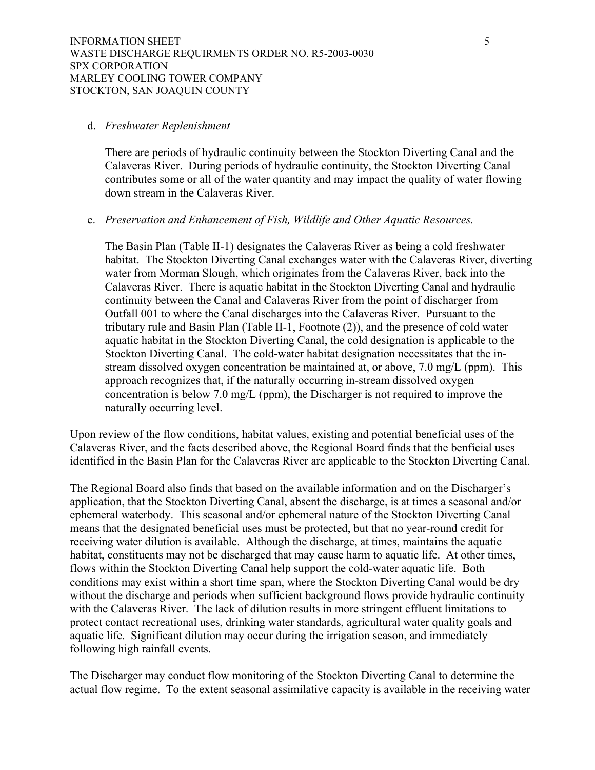#### d. *Freshwater Replenishment*

There are periods of hydraulic continuity between the Stockton Diverting Canal and the Calaveras River. During periods of hydraulic continuity, the Stockton Diverting Canal contributes some or all of the water quantity and may impact the quality of water flowing down stream in the Calaveras River.

## e. *Preservation and Enhancement of Fish, Wildlife and Other Aquatic Resources.*

The Basin Plan (Table II-1) designates the Calaveras River as being a cold freshwater habitat. The Stockton Diverting Canal exchanges water with the Calaveras River, diverting water from Morman Slough, which originates from the Calaveras River, back into the Calaveras River. There is aquatic habitat in the Stockton Diverting Canal and hydraulic continuity between the Canal and Calaveras River from the point of discharger from Outfall 001 to where the Canal discharges into the Calaveras River. Pursuant to the tributary rule and Basin Plan (Table II-1, Footnote (2)), and the presence of cold water aquatic habitat in the Stockton Diverting Canal, the cold designation is applicable to the Stockton Diverting Canal. The cold-water habitat designation necessitates that the instream dissolved oxygen concentration be maintained at, or above, 7.0 mg/L (ppm). This approach recognizes that, if the naturally occurring in-stream dissolved oxygen concentration is below 7.0 mg/L (ppm), the Discharger is not required to improve the naturally occurring level.

Upon review of the flow conditions, habitat values, existing and potential beneficial uses of the Calaveras River, and the facts described above, the Regional Board finds that the benficial uses identified in the Basin Plan for the Calaveras River are applicable to the Stockton Diverting Canal.

The Regional Board also finds that based on the available information and on the Discharger's application, that the Stockton Diverting Canal, absent the discharge, is at times a seasonal and/or ephemeral waterbody. This seasonal and/or ephemeral nature of the Stockton Diverting Canal means that the designated beneficial uses must be protected, but that no year-round credit for receiving water dilution is available. Although the discharge, at times, maintains the aquatic habitat, constituents may not be discharged that may cause harm to aquatic life. At other times, flows within the Stockton Diverting Canal help support the cold-water aquatic life. Both conditions may exist within a short time span, where the Stockton Diverting Canal would be dry without the discharge and periods when sufficient background flows provide hydraulic continuity with the Calaveras River. The lack of dilution results in more stringent effluent limitations to protect contact recreational uses, drinking water standards, agricultural water quality goals and aquatic life. Significant dilution may occur during the irrigation season, and immediately following high rainfall events.

The Discharger may conduct flow monitoring of the Stockton Diverting Canal to determine the actual flow regime. To the extent seasonal assimilative capacity is available in the receiving water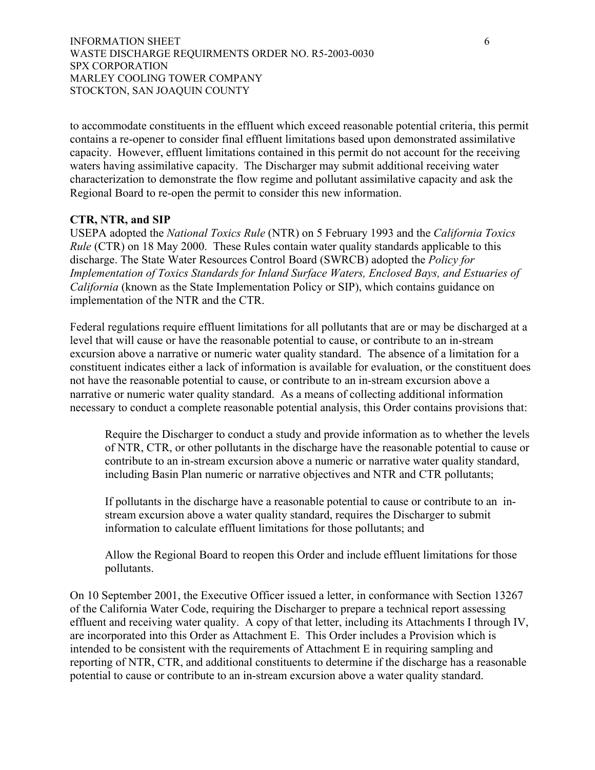to accommodate constituents in the effluent which exceed reasonable potential criteria, this permit contains a re-opener to consider final effluent limitations based upon demonstrated assimilative capacity. However, effluent limitations contained in this permit do not account for the receiving waters having assimilative capacity. The Discharger may submit additional receiving water characterization to demonstrate the flow regime and pollutant assimilative capacity and ask the Regional Board to re-open the permit to consider this new information.

# **CTR, NTR, and SIP**

USEPA adopted the *National Toxics Rule* (NTR) on 5 February 1993 and the *California Toxics Rule* (CTR) on 18 May 2000. These Rules contain water quality standards applicable to this discharge. The State Water Resources Control Board (SWRCB) adopted the *Policy for Implementation of Toxics Standards for Inland Surface Waters, Enclosed Bays, and Estuaries of California* (known as the State Implementation Policy or SIP), which contains guidance on implementation of the NTR and the CTR.

Federal regulations require effluent limitations for all pollutants that are or may be discharged at a level that will cause or have the reasonable potential to cause, or contribute to an in-stream excursion above a narrative or numeric water quality standard. The absence of a limitation for a constituent indicates either a lack of information is available for evaluation, or the constituent does not have the reasonable potential to cause, or contribute to an in-stream excursion above a narrative or numeric water quality standard. As a means of collecting additional information necessary to conduct a complete reasonable potential analysis, this Order contains provisions that:

Require the Discharger to conduct a study and provide information as to whether the levels of NTR, CTR, or other pollutants in the discharge have the reasonable potential to cause or contribute to an in-stream excursion above a numeric or narrative water quality standard, including Basin Plan numeric or narrative objectives and NTR and CTR pollutants;

If pollutants in the discharge have a reasonable potential to cause or contribute to an instream excursion above a water quality standard, requires the Discharger to submit information to calculate effluent limitations for those pollutants; and

Allow the Regional Board to reopen this Order and include effluent limitations for those pollutants.

On 10 September 2001, the Executive Officer issued a letter, in conformance with Section 13267 of the California Water Code, requiring the Discharger to prepare a technical report assessing effluent and receiving water quality. A copy of that letter, including its Attachments I through IV, are incorporated into this Order as Attachment E. This Order includes a Provision which is intended to be consistent with the requirements of Attachment E in requiring sampling and reporting of NTR, CTR, and additional constituents to determine if the discharge has a reasonable potential to cause or contribute to an in-stream excursion above a water quality standard.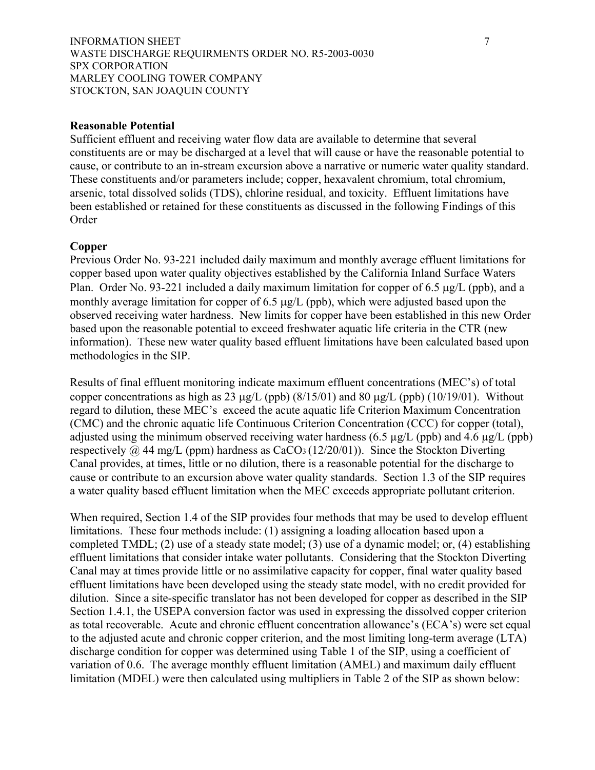### INFORMATION SHEET 7 7 WASTE DISCHARGE REQUIRMENTS ORDER NO. R5-2003-0030 SPX CORPORATION MARLEY COOLING TOWER COMPANY STOCKTON, SAN JOAQUIN COUNTY

## **Reasonable Potential**

Sufficient effluent and receiving water flow data are available to determine that several constituents are or may be discharged at a level that will cause or have the reasonable potential to cause, or contribute to an in-stream excursion above a narrative or numeric water quality standard. These constituents and/or parameters include; copper, hexavalent chromium, total chromium, arsenic, total dissolved solids (TDS), chlorine residual, and toxicity. Effluent limitations have been established or retained for these constituents as discussed in the following Findings of this Order

### **Copper**

Previous Order No. 93-221 included daily maximum and monthly average effluent limitations for copper based upon water quality objectives established by the California Inland Surface Waters Plan. Order No. 93-221 included a daily maximum limitation for copper of 6.5 µg/L (ppb), and a monthly average limitation for copper of 6.5 µg/L (ppb), which were adjusted based upon the observed receiving water hardness. New limits for copper have been established in this new Order based upon the reasonable potential to exceed freshwater aquatic life criteria in the CTR (new information). These new water quality based effluent limitations have been calculated based upon methodologies in the SIP.

Results of final effluent monitoring indicate maximum effluent concentrations (MEC's) of total copper concentrations as high as 23  $\mu$ g/L (ppb) (8/15/01) and 80  $\mu$ g/L (ppb) (10/19/01). Without regard to dilution, these MEC's exceed the acute aquatic life Criterion Maximum Concentration (CMC) and the chronic aquatic life Continuous Criterion Concentration (CCC) for copper (total), adjusted using the minimum observed receiving water hardness (6.5  $\mu$ g/L (ppb) and 4.6  $\mu$ g/L (ppb) respectively  $\omega$  44 mg/L (ppm) hardness as CaCO<sub>3</sub> (12/20/01)). Since the Stockton Diverting Canal provides, at times, little or no dilution, there is a reasonable potential for the discharge to cause or contribute to an excursion above water quality standards. Section 1.3 of the SIP requires a water quality based effluent limitation when the MEC exceeds appropriate pollutant criterion.

When required, Section 1.4 of the SIP provides four methods that may be used to develop effluent limitations. These four methods include: (1) assigning a loading allocation based upon a completed TMDL; (2) use of a steady state model; (3) use of a dynamic model; or, (4) establishing effluent limitations that consider intake water pollutants. Considering that the Stockton Diverting Canal may at times provide little or no assimilative capacity for copper, final water quality based effluent limitations have been developed using the steady state model, with no credit provided for dilution. Since a site-specific translator has not been developed for copper as described in the SIP Section 1.4.1, the USEPA conversion factor was used in expressing the dissolved copper criterion as total recoverable. Acute and chronic effluent concentration allowance's (ECA's) were set equal to the adjusted acute and chronic copper criterion, and the most limiting long-term average (LTA) discharge condition for copper was determined using Table 1 of the SIP, using a coefficient of variation of 0.6. The average monthly effluent limitation (AMEL) and maximum daily effluent limitation (MDEL) were then calculated using multipliers in Table 2 of the SIP as shown below: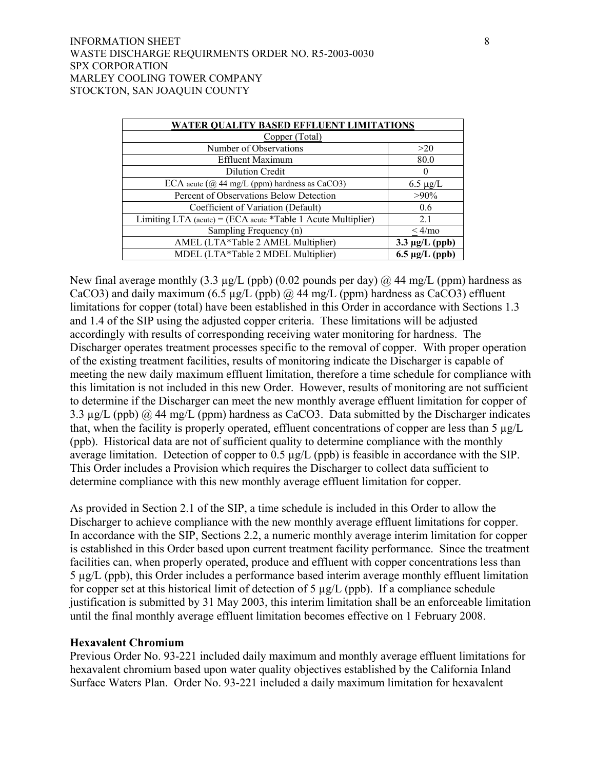## INFORMATION SHEET 8 WASTE DISCHARGE REQUIRMENTS ORDER NO. R5-2003-0030 SPX CORPORATION MARLEY COOLING TOWER COMPANY STOCKTON, SAN JOAQUIN COUNTY

| <b>WATER QUALITY BASED EFFLUENT LIMITATIONS</b>              |                     |  |
|--------------------------------------------------------------|---------------------|--|
| Copper (Total)                                               |                     |  |
| Number of Observations                                       | >20                 |  |
| <b>Effluent Maximum</b>                                      | 80.0                |  |
| Dilution Credit                                              | $\theta$            |  |
| ECA acute $(Q$ 44 mg/L (ppm) hardness as CaCO3)              | $6.5 \mu g/L$       |  |
| Percent of Observations Below Detection                      | $>90\%$             |  |
| Coefficient of Variation (Default)                           | 0.6                 |  |
| Limiting LTA (acute) = (ECA acute *Table 1 Acute Multiplier) | 2.1                 |  |
| Sampling Frequency (n)                                       | $<$ 4/mo            |  |
| AMEL (LTA*Table 2 AMEL Multiplier)                           | $3.3 \mu g/L$ (ppb) |  |
| MDEL (LTA*Table 2 MDEL Multiplier)                           | $6.5 \mu g/L$ (ppb) |  |

New final average monthly (3.3  $\mu$ g/L (ppb) (0.02 pounds per day) @ 44 mg/L (ppm) hardness as CaCO3) and daily maximum (6.5  $\mu$ g/L (ppb) @ 44 mg/L (ppm) hardness as CaCO3) effluent limitations for copper (total) have been established in this Order in accordance with Sections 1.3 and 1.4 of the SIP using the adjusted copper criteria. These limitations will be adjusted accordingly with results of corresponding receiving water monitoring for hardness. The Discharger operates treatment processes specific to the removal of copper. With proper operation of the existing treatment facilities, results of monitoring indicate the Discharger is capable of meeting the new daily maximum effluent limitation, therefore a time schedule for compliance with this limitation is not included in this new Order. However, results of monitoring are not sufficient to determine if the Discharger can meet the new monthly average effluent limitation for copper of 3.3  $\mu$ g/L (ppb) @ 44 mg/L (ppm) hardness as CaCO3. Data submitted by the Discharger indicates that, when the facility is properly operated, effluent concentrations of copper are less than 5 µg/L (ppb). Historical data are not of sufficient quality to determine compliance with the monthly average limitation. Detection of copper to 0.5 µg/L (ppb) is feasible in accordance with the SIP. This Order includes a Provision which requires the Discharger to collect data sufficient to determine compliance with this new monthly average effluent limitation for copper.

As provided in Section 2.1 of the SIP, a time schedule is included in this Order to allow the Discharger to achieve compliance with the new monthly average effluent limitations for copper. In accordance with the SIP, Sections 2.2, a numeric monthly average interim limitation for copper is established in this Order based upon current treatment facility performance. Since the treatment facilities can, when properly operated, produce and effluent with copper concentrations less than 5 µg/L (ppb), this Order includes a performance based interim average monthly effluent limitation for copper set at this historical limit of detection of  $5 \mu g/L$  (ppb). If a compliance schedule justification is submitted by 31 May 2003, this interim limitation shall be an enforceable limitation until the final monthly average effluent limitation becomes effective on 1 February 2008.

## **Hexavalent Chromium**

Previous Order No. 93-221 included daily maximum and monthly average effluent limitations for hexavalent chromium based upon water quality objectives established by the California Inland Surface Waters Plan. Order No. 93-221 included a daily maximum limitation for hexavalent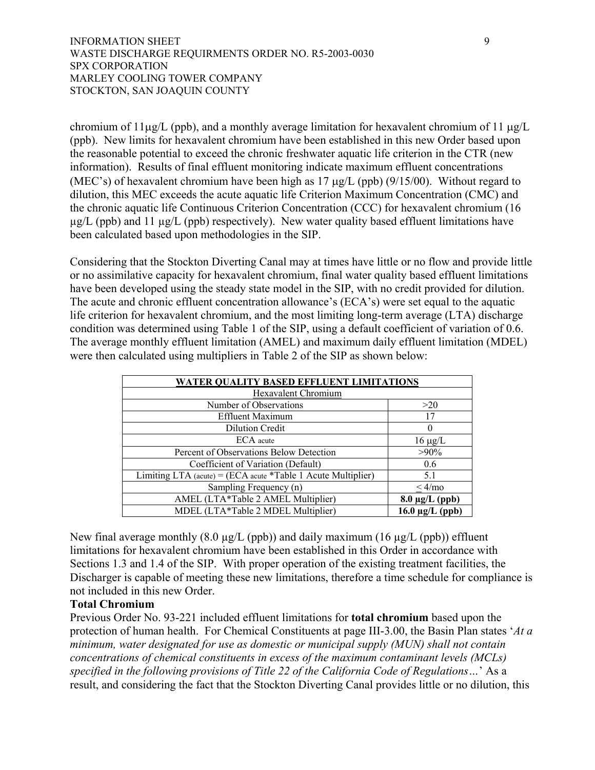chromium of  $11\mu g/L$  (ppb), and a monthly average limitation for hexavalent chromium of  $11 \mu g/L$ (ppb). New limits for hexavalent chromium have been established in this new Order based upon the reasonable potential to exceed the chronic freshwater aquatic life criterion in the CTR (new information). Results of final effluent monitoring indicate maximum effluent concentrations (MEC's) of hexavalent chromium have been high as  $17 \mu g/L$  (ppb) (9/15/00). Without regard to dilution, this MEC exceeds the acute aquatic life Criterion Maximum Concentration (CMC) and the chronic aquatic life Continuous Criterion Concentration (CCC) for hexavalent chromium (16  $\mu$ g/L (ppb) and 11  $\mu$ g/L (ppb) respectively). New water quality based effluent limitations have been calculated based upon methodologies in the SIP.

Considering that the Stockton Diverting Canal may at times have little or no flow and provide little or no assimilative capacity for hexavalent chromium, final water quality based effluent limitations have been developed using the steady state model in the SIP, with no credit provided for dilution. The acute and chronic effluent concentration allowance's (ECA's) were set equal to the aquatic life criterion for hexavalent chromium, and the most limiting long-term average (LTA) discharge condition was determined using Table 1 of the SIP, using a default coefficient of variation of 0.6. The average monthly effluent limitation (AMEL) and maximum daily effluent limitation (MDEL) were then calculated using multipliers in Table 2 of the SIP as shown below:

| WATER QUALITY BASED EFFLUENT LIMITATIONS                     |                      |  |
|--------------------------------------------------------------|----------------------|--|
| <b>Hexavalent Chromium</b>                                   |                      |  |
| Number of Observations                                       | >20                  |  |
| <b>Effluent Maximum</b>                                      | 17                   |  |
| <b>Dilution Credit</b>                                       | 0                    |  |
| ECA acute                                                    | $16 \mu g/L$         |  |
| Percent of Observations Below Detection                      | $>90\%$              |  |
| Coefficient of Variation (Default)                           | 0.6                  |  |
| Limiting LTA (acute) = (ECA acute *Table 1 Acute Multiplier) | 5.1                  |  |
| Sampling Frequency (n)                                       | $<$ 4/mo             |  |
| AMEL (LTA*Table 2 AMEL Multiplier)                           | $8.0 \mu g/L$ (ppb)  |  |
| MDEL (LTA*Table 2 MDEL Multiplier)                           | $16.0 \mu g/L$ (ppb) |  |

New final average monthly  $(8.0 \mu g/L$  (ppb)) and daily maximum  $(16 \mu g/L$  (ppb)) effluent limitations for hexavalent chromium have been established in this Order in accordance with Sections 1.3 and 1.4 of the SIP. With proper operation of the existing treatment facilities, the Discharger is capable of meeting these new limitations, therefore a time schedule for compliance is not included in this new Order.

# **Total Chromium**

Previous Order No. 93-221 included effluent limitations for **total chromium** based upon the protection of human health. For Chemical Constituents at page III-3.00, the Basin Plan states '*At a minimum, water designated for use as domestic or municipal supply (MUN) shall not contain concentrations of chemical constituents in excess of the maximum contaminant levels (MCLs) specified in the following provisions of Title 22 of the California Code of Regulations…*' As a result, and considering the fact that the Stockton Diverting Canal provides little or no dilution, this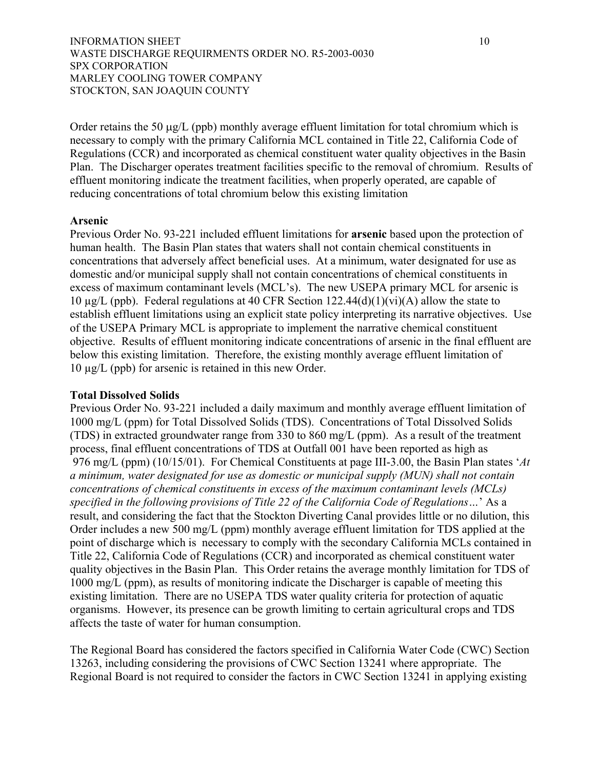Order retains the 50  $\mu$ g/L (ppb) monthly average effluent limitation for total chromium which is necessary to comply with the primary California MCL contained in Title 22, California Code of Regulations (CCR) and incorporated as chemical constituent water quality objectives in the Basin Plan. The Discharger operates treatment facilities specific to the removal of chromium. Results of effluent monitoring indicate the treatment facilities, when properly operated, are capable of reducing concentrations of total chromium below this existing limitation

# **Arsenic**

Previous Order No. 93-221 included effluent limitations for **arsenic** based upon the protection of human health. The Basin Plan states that waters shall not contain chemical constituents in concentrations that adversely affect beneficial uses. At a minimum, water designated for use as domestic and/or municipal supply shall not contain concentrations of chemical constituents in excess of maximum contaminant levels (MCL's). The new USEPA primary MCL for arsenic is 10  $\mu$ g/L (ppb). Federal regulations at 40 CFR Section 122.44(d)(1)(vi)(A) allow the state to establish effluent limitations using an explicit state policy interpreting its narrative objectives. Use of the USEPA Primary MCL is appropriate to implement the narrative chemical constituent objective. Results of effluent monitoring indicate concentrations of arsenic in the final effluent are below this existing limitation. Therefore, the existing monthly average effluent limitation of 10 µg/L (ppb) for arsenic is retained in this new Order.

# **Total Dissolved Solids**

Previous Order No. 93-221 included a daily maximum and monthly average effluent limitation of 1000 mg/L (ppm) for Total Dissolved Solids (TDS). Concentrations of Total Dissolved Solids (TDS) in extracted groundwater range from 330 to 860 mg/L (ppm). As a result of the treatment process, final effluent concentrations of TDS at Outfall 001 have been reported as high as 976 mg/L (ppm) (10/15/01). For Chemical Constituents at page III-3.00, the Basin Plan states '*At a minimum, water designated for use as domestic or municipal supply (MUN) shall not contain concentrations of chemical constituents in excess of the maximum contaminant levels (MCLs) specified in the following provisions of Title 22 of the California Code of Regulations…*' As a result, and considering the fact that the Stockton Diverting Canal provides little or no dilution, this Order includes a new 500 mg/L (ppm) monthly average effluent limitation for TDS applied at the point of discharge which is necessary to comply with the secondary California MCLs contained in Title 22, California Code of Regulations (CCR) and incorporated as chemical constituent water quality objectives in the Basin Plan. This Order retains the average monthly limitation for TDS of 1000 mg/L (ppm), as results of monitoring indicate the Discharger is capable of meeting this existing limitation. There are no USEPA TDS water quality criteria for protection of aquatic organisms. However, its presence can be growth limiting to certain agricultural crops and TDS affects the taste of water for human consumption.

The Regional Board has considered the factors specified in California Water Code (CWC) Section 13263, including considering the provisions of CWC Section 13241 where appropriate. The Regional Board is not required to consider the factors in CWC Section 13241 in applying existing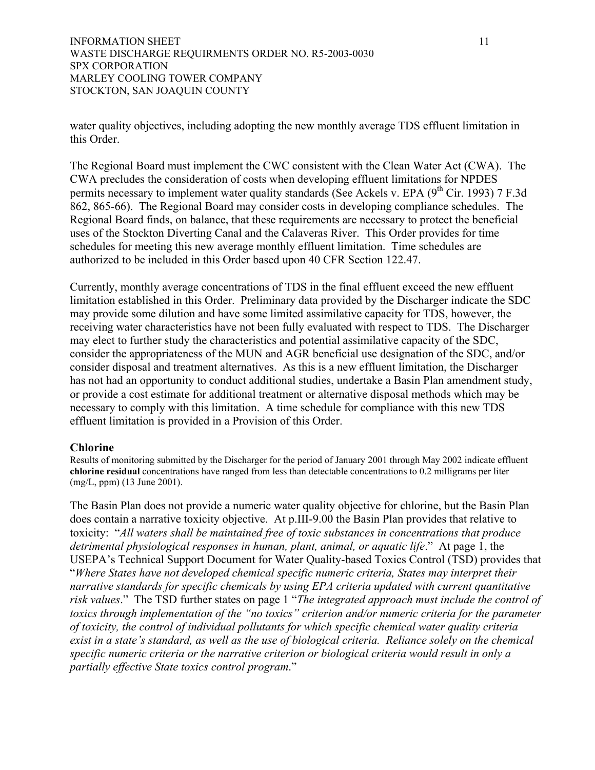water quality objectives, including adopting the new monthly average TDS effluent limitation in this Order.

The Regional Board must implement the CWC consistent with the Clean Water Act (CWA). The CWA precludes the consideration of costs when developing effluent limitations for NPDES permits necessary to implement water quality standards (See Ackels v. EPA (9<sup>th</sup> Cir. 1993) 7 F.3d 862, 865-66). The Regional Board may consider costs in developing compliance schedules. The Regional Board finds, on balance, that these requirements are necessary to protect the beneficial uses of the Stockton Diverting Canal and the Calaveras River. This Order provides for time schedules for meeting this new average monthly effluent limitation. Time schedules are authorized to be included in this Order based upon 40 CFR Section 122.47.

Currently, monthly average concentrations of TDS in the final effluent exceed the new effluent limitation established in this Order. Preliminary data provided by the Discharger indicate the SDC may provide some dilution and have some limited assimilative capacity for TDS, however, the receiving water characteristics have not been fully evaluated with respect to TDS. The Discharger may elect to further study the characteristics and potential assimilative capacity of the SDC, consider the appropriateness of the MUN and AGR beneficial use designation of the SDC, and/or consider disposal and treatment alternatives. As this is a new effluent limitation, the Discharger has not had an opportunity to conduct additional studies, undertake a Basin Plan amendment study, or provide a cost estimate for additional treatment or alternative disposal methods which may be necessary to comply with this limitation. A time schedule for compliance with this new TDS effluent limitation is provided in a Provision of this Order.

# **Chlorine**

Results of monitoring submitted by the Discharger for the period of January 2001 through May 2002 indicate effluent **chlorine residual** concentrations have ranged from less than detectable concentrations to 0.2 milligrams per liter (mg/L, ppm) (13 June 2001).

The Basin Plan does not provide a numeric water quality objective for chlorine, but the Basin Plan does contain a narrative toxicity objective. At p.III-9.00 the Basin Plan provides that relative to toxicity: "*All waters shall be maintained free of toxic substances in concentrations that produce detrimental physiological responses in human, plant, animal, or aquatic life*." At page 1, the USEPA's Technical Support Document for Water Quality-based Toxics Control (TSD) provides that "*Where States have not developed chemical specific numeric criteria, States may interpret their narrative standards for specific chemicals by using EPA criteria updated with current quantitative risk values*." The TSD further states on page 1 "*The integrated approach must include the control of toxics through implementation of the "no toxics" criterion and/or numeric criteria for the parameter of toxicity, the control of individual pollutants for which specific chemical water quality criteria exist in a state's standard, as well as the use of biological criteria. Reliance solely on the chemical specific numeric criteria or the narrative criterion or biological criteria would result in only a partially effective State toxics control program*."